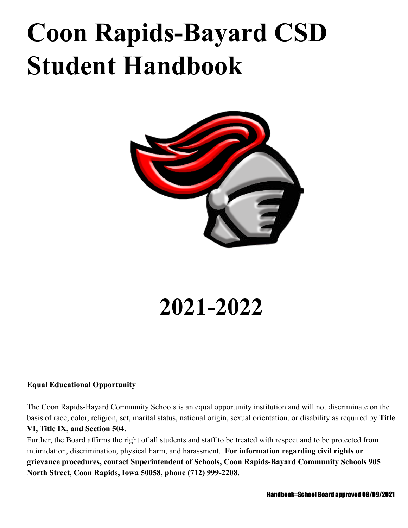# **Coon Rapids-Bayard CSD Student Handbook**



# **2021-2022**

# **Equal Educational Opportunity**

The Coon Rapids-Bayard Community Schools is an equal opportunity institution and will not discriminate on the basis of race, color, religion, set, marital status, national origin, sexual orientation, or disability as required by **Title VI, Title IX, and Section 504.**

Further, the Board affirms the right of all students and staff to be treated with respect and to be protected from intimidation, discrimination, physical harm, and harassment. **For information regarding civil rights or grievance procedures, contact Superintendent of Schools, Coon Rapids-Bayard Community Schools 905 North Street, Coon Rapids, Iowa 50058, phone (712) 999-2208.**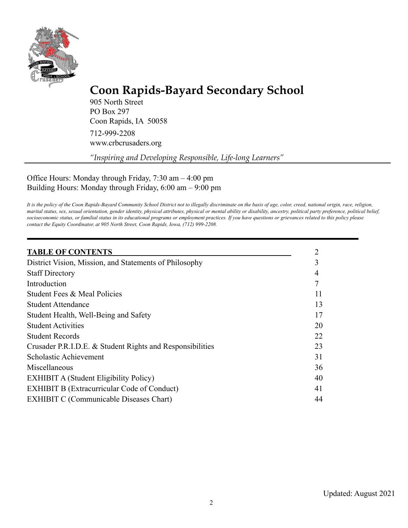

# **Coon Rapids-Bayard Secondary School**

905 North Street PO Box 297 Coon Rapids, IA 50058 712-999-2208 www.crbcrusaders.org

*"Inspiring and Developing Responsible, Life-long Learners"*

Office Hours: Monday through Friday, 7:30 am – 4:00 pm Building Hours: Monday through Friday, 6:00 am – 9:00 pm

It is the policy of the Coon Rapids-Bayard Community School District not to illegally discriminate on the basis of age, color, creed, national origin, race, religion, marital status, sex, sexual orientation, gender identity, physical attributes, physical or mental ability or disability, ancestry, political party preference, political belief, socioeconomic status, or familial status in its educational programs or employment practices. If you have questions or grievances related to this policy please *contact the Equity Coordinator, at 905 North Street, Coon Rapids, Iowa, (712) 999-2208.*

| <b>TABLE OF CONTENTS</b>                                  |    |
|-----------------------------------------------------------|----|
| District Vision, Mission, and Statements of Philosophy    | 3  |
| <b>Staff Directory</b>                                    |    |
| Introduction                                              |    |
| Student Fees & Meal Policies                              | 11 |
| <b>Student Attendance</b>                                 | 13 |
| Student Health, Well-Being and Safety                     | 17 |
| <b>Student Activities</b>                                 | 20 |
| <b>Student Records</b>                                    | 22 |
| Crusader P.R.I.D.E. & Student Rights and Responsibilities | 23 |
| Scholastic Achievement                                    | 31 |
| Miscellaneous                                             | 36 |
| <b>EXHIBIT A (Student Eligibility Policy)</b>             | 40 |
| <b>EXHIBIT B (Extracurricular Code of Conduct)</b>        | 41 |
| <b>EXHIBIT C (Communicable Diseases Chart)</b>            | 44 |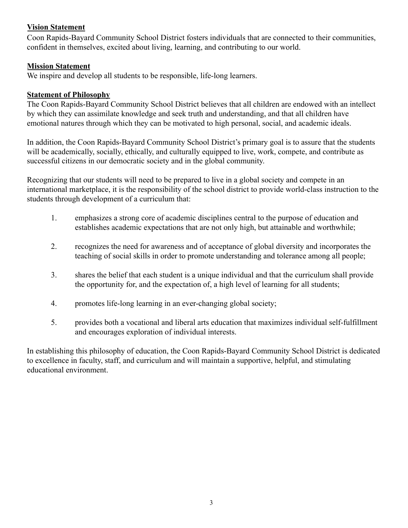# **Vision Statement**

Coon Rapids-Bayard Community School District fosters individuals that are connected to their communities, confident in themselves, excited about living, learning, and contributing to our world.

# **Mission Statement**

We inspire and develop all students to be responsible, life-long learners.

# **Statement of Philosophy**

The Coon Rapids-Bayard Community School District believes that all children are endowed with an intellect by which they can assimilate knowledge and seek truth and understanding, and that all children have emotional natures through which they can be motivated to high personal, social, and academic ideals.

In addition, the Coon Rapids-Bayard Community School District's primary goal is to assure that the students will be academically, socially, ethically, and culturally equipped to live, work, compete, and contribute as successful citizens in our democratic society and in the global community.

Recognizing that our students will need to be prepared to live in a global society and compete in an international marketplace, it is the responsibility of the school district to provide world-class instruction to the students through development of a curriculum that:

- 1. emphasizes a strong core of academic disciplines central to the purpose of education and establishes academic expectations that are not only high, but attainable and worthwhile;
- 2. recognizes the need for awareness and of acceptance of global diversity and incorporates the teaching of social skills in order to promote understanding and tolerance among all people;
- 3. shares the belief that each student is a unique individual and that the curriculum shall provide the opportunity for, and the expectation of, a high level of learning for all students;
- 4. promotes life-long learning in an ever-changing global society;
- 5. provides both a vocational and liberal arts education that maximizes individual self-fulfillment and encourages exploration of individual interests.

In establishing this philosophy of education, the Coon Rapids-Bayard Community School District is dedicated to excellence in faculty, staff, and curriculum and will maintain a supportive, helpful, and stimulating educational environment.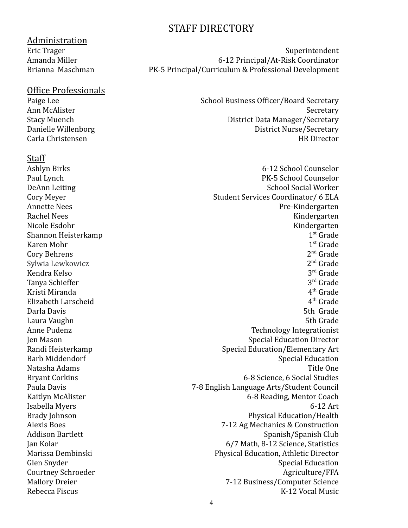# STAFF DIRECTORY

Administration

# Office Professionals

# **Staff**

Shannon Heisterkamp 1 Karen Mohr 1 Cory Behrens Sylwia Lewkowicz 2 Kendra Kelso 3 Tanya Schieffer 3 Kristi Miranda 4 Elizabeth Larscheid 4

Eric Trager Superintendent Amanda Miller 6-12 Principal/At-Risk Coordinator Brianna Maschman PK-5 Principal/Curriculum & Professional Development

Paige Lee School Business Officer/Board Secretary Ann McAlister Secretary Stacy Muench **District Data Manager/Secretary** Danielle Willenborg **District Nurse**/Secretary Carla Christensen HR Director

Ashlyn Birks 6-12 School Counselor Paul Lynch **PK-5** School Counselor DeAnn Leiting School Social Worker Cory Meyer Student Services Coordinator/ 6 ELA Annette Nees Pre-Kindergarten Rachel Nees Kindergarten († 1852) Nicole Esdohr Kindergarten  $1<sup>st</sup>$  Grade 1<sup>st</sup> Grade  $2<sup>nd</sup>$  Grade  $2<sup>nd</sup>$  Grade  $3<sup>rd</sup>$  Grade  $3<sup>rd</sup>$  Grade  $4<sup>th</sup>$  Grade  $4<sup>th</sup>$  Grade Darla Davis **1988** Sth Grade **1988** Sth Grade 1988 Sth Grade 1988 Sth Grade 1988 Sth Grade 1988 Sth Grade 1988 Sth Grade 1988 Sth Grade 1988 Sth Grade 1988 Sth Grade 1988 Sth Grade 1988 Sth Grade 1988 Sth Grade 1988 Sth Gr Laura Vaughn 5th Grade Anne Pudenz Technology Integrationist Jen Mason Special Education Director Randi Heisterkamp Special Education/Elementary Art Barb Middendorf Special Education Natasha Adams Title One Bryant Corkins **6-8 Science**, 6 Social Studies Paula Davis 7-8 English Language Arts/Student Council Kaitlyn McAlister 6-8 Reading, Mentor Coach Isabella Myers 6-12 Art Brady Johnson **Physical Education/Health** Alexis Boes 7-12 Ag Mechanics & Construction Addison Bartlett Spanish Club Jan Kolar 6/7 Math, 8-12 Science, Statistics Marissa Dembinski Physical Education, Athletic Director Glen Snyder Special Education Courtney Schroeder Agriculture (FFA Mallory Dreier 7-12 Business/Computer Science Rebecca Fiscus K-12 Vocal Music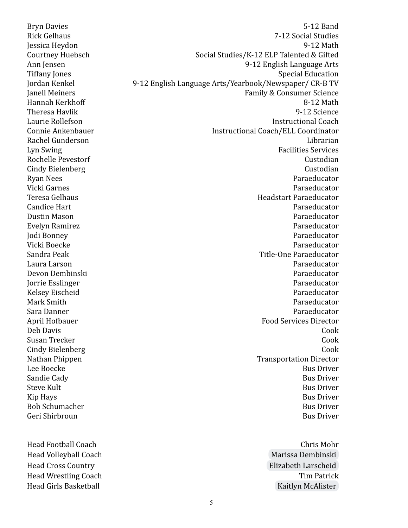Head Football Coach Chris Mohr Head Volleyball Coach and the Controllering of the [Marissa Dembinski](mailto:marissa.dembinski@crbcrusaders.org) Head Cross Country [Elizabeth Larscheid](mailto:elizabeth.larscheid@crbcrusaders.org) Head Wrestling Coach **Tim Patrick** Tim Patrick Head Girls Basketball **[Kaitlyn McAlister](mailto:kaitlyn.mcalister@crbcrusaders.org)** Kaitlyn McAlister

Bryn Davies 5-12 Band Rick Gelhaus 7-12 Social Studies Jessica Heydon 9-12 Math Courtney Huebsch Social Studies/K-12 ELP Talented & Gifted Ann Jensen 9-12 English Language Arts Tiffany Jones **Special Education** Jordan Kenkel 9-12 English Language Arts/Yearbook/Newspaper/ CR-B TV Janell Meiners Family & Consumer Science Hannah Kerkhoff 8-12 Math Theresa Havlik 9-12 Science Laurie Rollefson Instructional Coach Connie Ankenbauer Instructional Coach/ELL Coordinator Rachel Gunderson **Librarian** Librarian and Librarian and Librarian and Librarian and Librarian and Librarian and Librarian and Librarian and Librarian and Librarian and Librarian and Librarian and Librarian and Librarian a Lyn Swing Facilities Services Rochelle Pevestorf **Custodian** Cindy Bielenberg Custodian Ryan Nees Paraeducator Vicki Garnes Paraeducator Teresa Gelhaus Headstart Paraeducator Candice Hart Paraeducator Dustin Mason Paraeducator Evelyn Ramirez Paraeducator Jodi Bonney Paraeducator Vicki Boecke Paraeducator Sandra Peak Title-One Paraeducator Laura Larson Paraeducator Devon Dembinski Paraeducator Jorrie Esslinger Paraeducator Kelsey Eischeid Paraeducator Mark Smith Paraeducator Sara Danner Paraeducator April Hofbauer Food Services Director Deb Davis Cook Susan Trecker Cook Cindy Bielenberg Cook Nathan Phippen **Transportation Director** Lee Boecke Bus Driver Sandie Cady Bus Driver Steve Kult Bus Driver Kip Hays Bus Driver Bob Schumacher Bus Driver Bus Driver Bus Driver Bus Driver Bus Driver Bus Driver Geri Shirbroun Bus Driver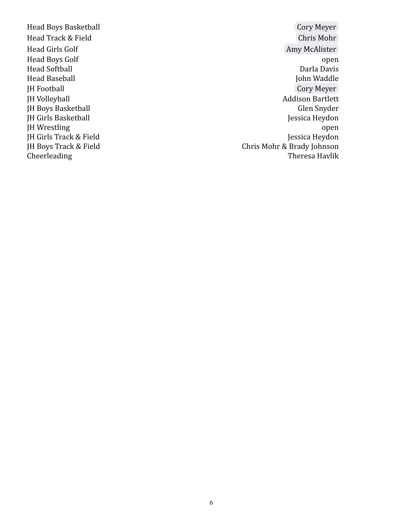Head Baseball JH Boys Basketball JH Girls Track & Field<br>JH Boys Track & Field

Head Boys Basketball **Communist [Cory Meyer](mailto:cory.meyer@crbcrusaders.org)** Head Track & Field [Chris Mohr](mailto:chris.mohr@crbcrusaders.org) Head Girls Golf **[Amy McAlister](mailto:amy.mcalister@crbcrusaders.org)** Head Boys Golf open Head Softball Darla Davis JH Football [Cory Meyer](mailto:cory.meyer@crbcrusaders.org) JH Volleyball Addison Bartlett JH Girls Basketball JH Girls Basketball Jessica Heydon JH Wrestling open<br>JH Girls Track & Field states and the set of the set of the set of the set of the set of the set of the set of<br>Jessica Heydon Chris Mohr & Brady Johnson Cheerleading Theresa Havlik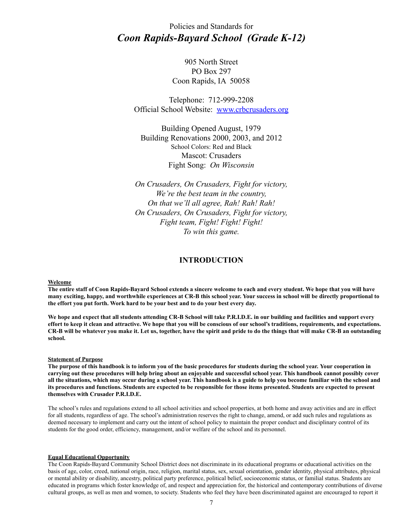Policies and Standards for *Coon Rapids-Bayard School (Grade K-12)*

> 905 North Street PO Box 297 Coon Rapids, IA 50058

Telephone: 712-999-2208 Official School Website: [www.crbcrusaders.org](http://www.crbcrusaders.org)

Building Opened August, 1979 Building Renovations 2000, 2003, and 2012 School Colors: Red and Black Mascot: Crusaders Fight Song: *On Wisconsin*

*On Crusaders, On Crusaders, Fight for victory, We're the best team in the country, On that we'll all agree, Rah! Rah! Rah! On Crusaders, On Crusaders, Fight for victory, Fight team, Fight! Fight! Fight! To win this game.*

### **INTRODUCTION**

#### **Welcome**

**The entire staff of Coon Rapids-Bayard School extends a sincere welcome to each and every student. We hope that you will have many exciting, happy, and worthwhile experiences at CR-B this school year. Your success in school will be directly proportional to the effort you put forth. Work hard to be your best and to do your best every day.**

**We hope and expect that all students attending CR-B School will take P.R.I.D.E. in our building and facilities and support every effort to keep it clean and attractive. We hope that you will be conscious of our school's traditions, requirements, and expectations. CR-B will be whatever you make it. Let us, together, have the spirit and pride to do the things that will make CR-B an outstanding school.**

#### **Statement of Purpose**

**The purpose of this handbook is to inform you of the basic procedures for students during the school year. Your cooperation in carrying out these procedures will help bring about an enjoyable and successful school year. This handbook cannot possibly cover all the situations, which may occur during a school year. This handbook is a guide to help you become familiar with the school and its procedures and functions. Students are expected to be responsible for those items presented. Students are expected to present themselves with Crusader P.R.I.D.E.**

The school's rules and regulations extend to all school activities and school properties, at both home and away activities and are in effect for all students, regardless of age. The school's administration reserves the right to change, amend, or add such rules and regulations as deemed necessary to implement and carry out the intent of school policy to maintain the proper conduct and disciplinary control of its students for the good order, efficiency, management, and/or welfare of the school and its personnel.

#### **Equal Educational Opportunity**

The Coon Rapids-Bayard Community School District does not discriminate in its educational programs or educational activities on the basis of age, color, creed, national origin, race, religion, marital status, sex, sexual orientation, gender identity, physical attributes, physical or mental ability or disability, ancestry, political party preference, political belief, socioeconomic status, or familial status. Students are educated in programs which foster knowledge of, and respect and appreciation for, the historical and contemporary contributions of diverse cultural groups, as well as men and women, to society. Students who feel they have been discriminated against are encouraged to report it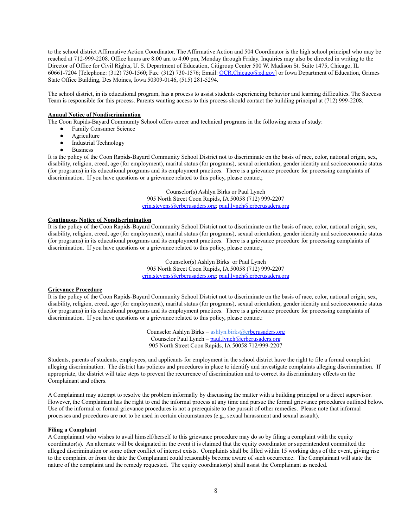to the school district Affirmative Action Coordinator. The Affirmative Action and 504 Coordinator is the high school principal who may be reached at 712-999-2208. Office hours are 8:00 am to 4:00 pm, Monday through Friday. Inquiries may also be directed in writing to the Director of Office for Civil Rights, U. S. Department of Education, Citigroup Center 500 W. Madison St. Suite 1475, Chicago, IL 60661-7204 [Telephone: (312) 730-1560; Fax: (312) 730-1576; Email: [OCR.Chicago@ed.gov\]](mailto:OCR.Chicago@ed.gov) or Iowa Department of Education, Grimes State Office Building, Des Moines, Iowa 50309-0146, (515) 281-5294.

The school district, in its educational program, has a process to assist students experiencing behavior and learning difficulties. The Success Team is responsible for this process. Parents wanting access to this process should contact the building principal at (712) 999-2208.

#### **Annual Notice of Nondiscrimination**

The Coon Rapids-Bayard Community School offers career and technical programs in the following areas of study:

- Family Consumer Science
- Agriculture
- Industrial Technology
- **Business**

It is the policy of the Coon Rapids-Bayard Community School District not to discriminate on the basis of race, color, national origin, sex, disability, religion, creed, age (for employment), marital status (for programs), sexual orientation, gender identity and socioeconomic status (for programs) in its educational programs and its employment practices. There is a grievance procedure for processing complaints of discrimination. If you have questions or a grievance related to this policy, please contact;

> Counselor(s) Ashlyn Birks or Paul Lynch 905 North Street Coon Rapids, IA 50058 (712) 999-2207 [erin.stevens@crbcrusaders.org](mailto:erin.stevens@crbcrusaders.org); [paul.lynch@crbcrusaders.org](mailto:paul.lynch@crbcrusaders.org)

#### **Continuous Notice of Nondiscrimination**

It is the policy of the Coon Rapids-Bayard Community School District not to discriminate on the basis of race, color, national origin, sex, disability, religion, creed, age (for employment), marital status (for programs), sexual orientation, gender identity and socioeconomic status (for programs) in its educational programs and its employment practices. There is a grievance procedure for processing complaints of discrimination. If you have questions or a grievance related to this policy, please contact;

> Counselor(s) Ashlyn Birks or Paul Lynch 905 North Street Coon Rapids, IA 50058 (712) 999-2207 [erin.stevens@crbcrusaders.org](mailto:erin.stevens@crbcrusaders.org); [paul.lynch@crbcrusaders.org](mailto:paul.lynch@crbcrusaders.org)

#### **Grievance Procedure**

It is the policy of the Coon Rapids-Bayard Community School District not to discriminate on the basis of race, color, national origin, sex, disability, religion, creed, age (for employment), marital status (for programs), sexual orientation, gender identity and socioeconomic status (for programs) in its educational programs and its employment practices. There is a grievance procedure for processing complaints of discrimination. If you have questions or a grievance related to this policy, please contact:

> Counselor Ashlyn Birks – ashlyn.birks[@crbcrusaders.org](mailto:erin.stevens@crbcrusaders.org) Counselor Paul Lynch – [paul.lynch@crbcrusaders.org](mailto:paul.lynch@crbcrusaders.org) 905 North Street Coon Rapids, IA 50058 712/999-2207

Students, parents of students, employees, and applicants for employment in the school district have the right to file a formal complaint alleging discrimination. The district has policies and procedures in place to identify and investigate complaints alleging discrimination. If appropriate, the district will take steps to prevent the recurrence of discrimination and to correct its discriminatory effects on the Complainant and others.

A Complainant may attempt to resolve the problem informally by discussing the matter with a building principal or a direct supervisor. However, the Complainant has the right to end the informal process at any time and pursue the formal grievance procedures outlined below. Use of the informal or formal grievance procedures is not a prerequisite to the pursuit of other remedies. Please note that informal processes and procedures are not to be used in certain circumstances (e.g., sexual harassment and sexual assault).

#### **Filing a Complaint**

A Complainant who wishes to avail himself/herself to this grievance procedure may do so by filing a complaint with the equity coordinator(s). An alternate will be designated in the event it is claimed that the equity coordinator or superintendent committed the alleged discrimination or some other conflict of interest exists. Complaints shall be filled within 15 working days of the event, giving rise to the complaint or from the date the Complainant could reasonably become aware of such occurrence. The Complainant will state the nature of the complaint and the remedy requested. The equity coordinator(s) shall assist the Complainant as needed.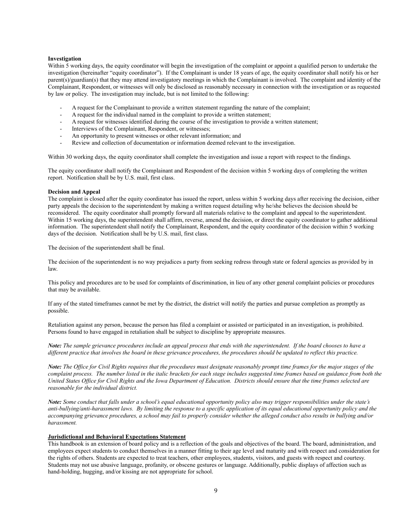#### **Investigation**

Within 5 working days, the equity coordinator will begin the investigation of the complaint or appoint a qualified person to undertake the investigation (hereinafter "equity coordinator"). If the Complainant is under 18 years of age, the equity coordinator shall notify his or her parent(s)/guardian(s) that they may attend investigatory meetings in which the Complainant is involved. The complaint and identity of the Complainant, Respondent, or witnesses will only be disclosed as reasonably necessary in connection with the investigation or as requested by law or policy. The investigation may include, but is not limited to the following:

- A request for the Complainant to provide a written statement regarding the nature of the complaint;
- A request for the individual named in the complaint to provide a written statement;
- A request for witnesses identified during the course of the investigation to provide a written statement;
- Interviews of the Complainant, Respondent, or witnesses;
- An opportunity to present witnesses or other relevant information; and
- Review and collection of documentation or information deemed relevant to the investigation.

Within 30 working days, the equity coordinator shall complete the investigation and issue a report with respect to the findings.

The equity coordinator shall notify the Complainant and Respondent of the decision within 5 working days of completing the written report. Notification shall be by U.S. mail, first class.

#### **Decision and Appeal**

The complaint is closed after the equity coordinator has issued the report, unless within 5 working days after receiving the decision, either party appeals the decision to the superintendent by making a written request detailing why he/she believes the decision should be reconsidered. The equity coordinator shall promptly forward all materials relative to the complaint and appeal to the superintendent. Within 15 working days, the superintendent shall affirm, reverse, amend the decision, or direct the equity coordinator to gather additional information. The superintendent shall notify the Complainant, Respondent, and the equity coordinator of the decision within 5 working days of the decision. Notification shall be by U.S. mail, first class.

The decision of the superintendent shall be final.

The decision of the superintendent is no way prejudices a party from seeking redress through state or federal agencies as provided by in law.

This policy and procedures are to be used for complaints of discrimination, in lieu of any other general complaint policies or procedures that may be available.

If any of the stated timeframes cannot be met by the district, the district will notify the parties and pursue completion as promptly as possible.

Retaliation against any person, because the person has filed a complaint or assisted or participated in an investigation, is prohibited. Persons found to have engaged in retaliation shall be subject to discipline by appropriate measures.

*Note: The sample grievance procedures include an appeal process that ends with the superintendent. If the board chooses to have a different practice that involves the board in these grievance procedures, the procedures should be updated to reflect this practice.*

*Note: The Office for Civil Rights requires that the procedures must designate reasonably prompt time frames for the major stages of the complaint process. The number listed in the italic brackets for each stage includes suggested time frames based on guidance from both the United States Office for Civil Rights and the Iowa Department of Education. Districts should ensure that the time frames selected are reasonable for the individual district.*

*Note: Some conduct that falls under a school's equal educational opportunity policy also may trigger responsibilities under the state's anti-bullying/anti-harassment laws. By limiting the response to a specific application of its equal educational opportunity policy and the accompanying grievance procedures, a school may fail to properly consider whether the alleged conduct also results in bullying and/or harassment.*

#### **Jurisdictional and Behavioral Expectations Statement**

This handbook is an extension of board policy and is a reflection of the goals and objectives of the board. The board, administration, and employees expect students to conduct themselves in a manner fitting to their age level and maturity and with respect and consideration for the rights of others. Students are expected to treat teachers, other employees, students, visitors, and guests with respect and courtesy. Students may not use abusive language, profanity, or obscene gestures or language. Additionally, public displays of affection such as hand-holding, hugging, and/or kissing are not appropriate for school.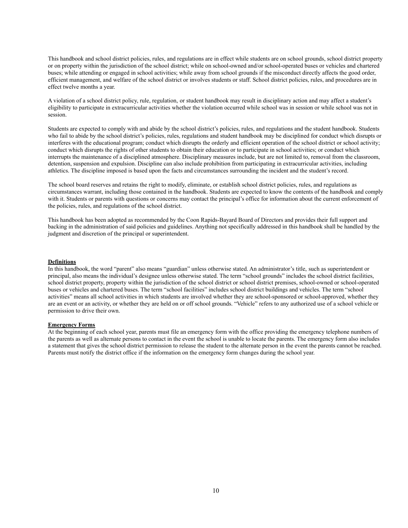This handbook and school district policies, rules, and regulations are in effect while students are on school grounds, school district property or on property within the jurisdiction of the school district; while on school-owned and/or school-operated buses or vehicles and chartered buses; while attending or engaged in school activities; while away from school grounds if the misconduct directly affects the good order, efficient management, and welfare of the school district or involves students or staff. School district policies, rules, and procedures are in effect twelve months a year.

A violation of a school district policy, rule, regulation, or student handbook may result in disciplinary action and may affect a student's eligibility to participate in extracurricular activities whether the violation occurred while school was in session or while school was not in session.

Students are expected to comply with and abide by the school district's policies, rules, and regulations and the student handbook. Students who fail to abide by the school district's policies, rules, regulations and student handbook may be disciplined for conduct which disrupts or interferes with the educational program; conduct which disrupts the orderly and efficient operation of the school district or school activity; conduct which disrupts the rights of other students to obtain their education or to participate in school activities; or conduct which interrupts the maintenance of a disciplined atmosphere. Disciplinary measures include, but are not limited to, removal from the classroom, detention, suspension and expulsion. Discipline can also include prohibition from participating in extracurricular activities, including athletics. The discipline imposed is based upon the facts and circumstances surrounding the incident and the student's record.

The school board reserves and retains the right to modify, eliminate, or establish school district policies, rules, and regulations as circumstances warrant, including those contained in the handbook. Students are expected to know the contents of the handbook and comply with it. Students or parents with questions or concerns may contact the principal's office for information about the current enforcement of the policies, rules, and regulations of the school district.

This handbook has been adopted as recommended by the Coon Rapids-Bayard Board of Directors and provides their full support and backing in the administration of said policies and guidelines. Anything not specifically addressed in this handbook shall be handled by the judgment and discretion of the principal or superintendent.

#### **Definitions**

In this handbook, the word "parent" also means "guardian" unless otherwise stated. An administrator's title, such as superintendent or principal, also means the individual's designee unless otherwise stated. The term "school grounds" includes the school district facilities, school district property, property within the jurisdiction of the school district or school district premises, school-owned or school-operated buses or vehicles and chartered buses. The term "school facilities" includes school district buildings and vehicles. The term "school activities" means all school activities in which students are involved whether they are school-sponsored or school-approved, whether they are an event or an activity, or whether they are held on or off school grounds. "Vehicle" refers to any authorized use of a school vehicle or permission to drive their own.

#### **Emergency Forms**

At the beginning of each school year, parents must file an emergency form with the office providing the emergency telephone numbers of the parents as well as alternate persons to contact in the event the school is unable to locate the parents. The emergency form also includes a statement that gives the school district permission to release the student to the alternate person in the event the parents cannot be reached. Parents must notify the district office if the information on the emergency form changes during the school year.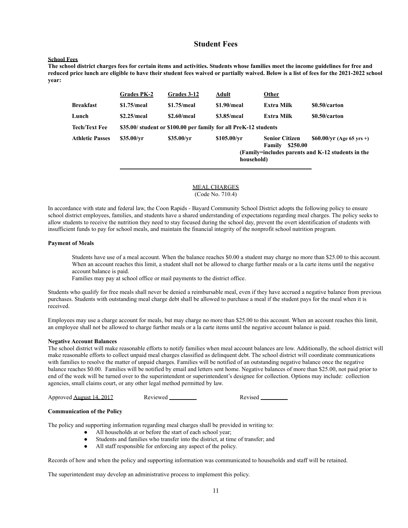#### **Student Fees**

#### **School Fees**

**The school district charges fees for certain items and activities. Students whose families meet the income guidelines for free and reduced price lunch are eligible to have their student fees waived or partially waived. Below is a list of fees for the 2021-2022 school year:**

|                        | <b>Grades PK-2</b> | <b>Grades 3-12</b>                                               | <b>Adult</b>              | <b>Other</b>                                |                                                                                 |
|------------------------|--------------------|------------------------------------------------------------------|---------------------------|---------------------------------------------|---------------------------------------------------------------------------------|
| <b>Breakfast</b>       | $$1.75/m$ eal      | $$1.75/m$ eal                                                    | $$1.90/$ meal             | <b>Extra Milk</b>                           | \$0.50/carton                                                                   |
| Lunch                  | $$2.25/m$ eal      | $$2.60/m$ eal                                                    | \$3.85/meal               | Extra Milk                                  | \$0.50/carton                                                                   |
| <b>Tech/Text Fee</b>   |                    | \$35.00/ student or \$100.00 per family for all PreK-12 students |                           |                                             |                                                                                 |
| <b>Athletic Passes</b> | \$35.00/vr         | \$35.00/yr                                                       | \$105.00/vr<br>household) | <b>Senior Citizen</b><br>\$250.00<br>Family | $$60.00/yr$ (Age 65 yrs +)<br>(Family=includes parents and K-12 students in the |

#### MEAL CHARGES (Code No. 710.4)

In accordance with state and federal law, the Coon Rapids - Bayard Community School District adopts the following policy to ensure school district employees, families, and students have a shared understanding of expectations regarding meal charges. The policy seeks to allow students to receive the nutrition they need to stay focused during the school day, prevent the overt identification of students with insufficient funds to pay for school meals, and maintain the financial integrity of the nonprofit school nutrition program.

#### **Payment of Meals**

Students have use of a meal account. When the balance reaches \$0.00 a student may charge no more than \$25.00 to this account. When an account reaches this limit, a student shall not be allowed to charge further meals or a la carte items until the negative account balance is paid.

Families may pay at school office or mail payments to the district office.

Students who qualify for free meals shall never be denied a reimbursable meal, even if they have accrued a negative balance from previous purchases. Students with outstanding meal charge debt shall be allowed to purchase a meal if the student pays for the meal when it is received.

Employees may use a charge account for meals, but may charge no more than \$25.00 to this account. When an account reaches this limit, an employee shall not be allowed to charge further meals or a la carte items until the negative account balance is paid.

#### **Negative Account Balances**

The school district will make reasonable efforts to notify families when meal account balances are low. Additionally, the school district will make reasonable efforts to collect unpaid meal charges classified as delinquent debt. The school district will coordinate communications with families to resolve the matter of unpaid charges. Families will be notified of an outstanding negative balance once the negative balance reaches \$0.00. Families will be notified by email and letters sent home. Negative balances of more than \$25.00, not paid prior to end of the week will be turned over to the superintendent or superintendent's designee for collection. Options may include: collection agencies, small claims court, or any other legal method permitted by law.

Approved <u>August 14, 2017</u> Reviewed **Reviewed Revised** Revised

#### **Communication of the Policy**

The policy and supporting information regarding meal charges shall be provided in writing to:

- All households at or before the start of each school year;
- Students and families who transfer into the district, at time of transfer; and
- All staff responsible for enforcing any aspect of the policy.

Records of how and when the policy and supporting information was communicated to households and staff will be retained.

The superintendent may develop an administrative process to implement this policy.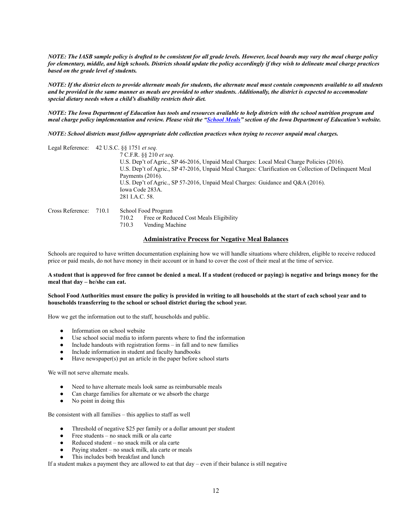*NOTE: The IASB sample policy is drafted to be consistent for all grade levels. However, local boards may vary the meal charge policy for elementary, middle, and high schools. Districts should update the policy accordingly if they wish to delineate meal charge practices based on the grade level of students.*

*NOTE: If the district elects to provide alternate meals for students, the alternate meal must contain components available to all students and be provided in the same manner as meals are provided to other students. Additionally, the district is expected to accommodate special dietary needs when a child's disability restricts their diet.*

*NOTE: The Iowa Department of Education has tools and resources available to help districts with the school nutrition program and meal charge policy implementation and review. Please visit the "School Meals" section of the Iowa Department of Education's website.*

*NOTE: School districts must follow appropriate debt collection practices when trying to recover unpaid meal charges.*

| Legal Reference: 42 U.S.C. §§ 1751 et seq. |       |                                                                                                       |
|--------------------------------------------|-------|-------------------------------------------------------------------------------------------------------|
|                                            |       | 7 C.F.R. §§ 210 et seq.                                                                               |
|                                            |       | U.S. Dep't of Agric., SP 46-2016, Unpaid Meal Charges: Local Meal Charge Policies (2016).             |
|                                            |       | U.S. Dep't of Agric., SP 47-2016, Unpaid Meal Charges: Clarification on Collection of Delinquent Meal |
|                                            |       | Payments $(2016)$ .                                                                                   |
|                                            |       | U.S. Dep't of Agric., SP 57-2016, Unpaid Meal Charges: Guidance and O&A (2016).                       |
|                                            |       | Iowa Code 283A.                                                                                       |
|                                            |       | 281 I.A.C. 58.                                                                                        |
| Cross Reference:                           | 710.1 | School Food Program                                                                                   |
|                                            |       | Free or Reduced Cost Meals Eligibility<br>710.2                                                       |

710.3 Vending Machine

#### **Administrative Process for Negative Meal Balances**

Schools are required to have written documentation explaining how we will handle situations where children, eligible to receive reduced price or paid meals, do not have money in their account or in hand to cover the cost of their meal at the time of service.

#### **A student that is approved for free cannot be denied a meal. If a student (reduced or paying) is negative and brings money for the meal that day – he/she can eat.**

#### **School Food Authorities must ensure the policy is provided in writing to all households at the start of each school year and to households transferring to the school or school district during the school year.**

How we get the information out to the staff, households and public.

- Information on school website
- Use school social media to inform parents where to find the information
- Include handouts with registration forms in fall and to new families
- Include information in student and faculty handbooks
- Have newspaper $(s)$  put an article in the paper before school starts

We will not serve alternate meals.

- Need to have alternate meals look same as reimbursable meals
- Can charge families for alternate or we absorb the charge
- No point in doing this

Be consistent with all families – this applies to staff as well

- Threshold of negative \$25 per family or a dollar amount per student
- Free students no snack milk or ala carte
- Reduced student no snack milk or ala carte
- Paying student no snack milk, ala carte or meals
- This includes both breakfast and lunch

If a student makes a payment they are allowed to eat that day – even if their balance is still negative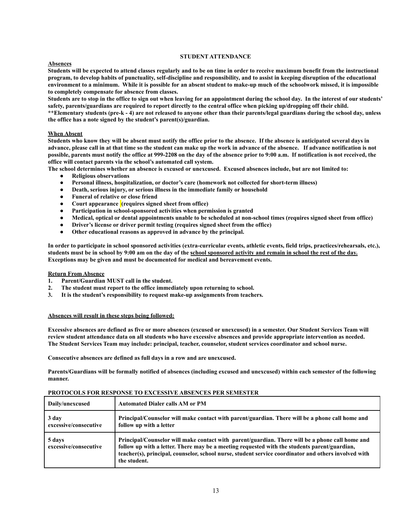#### **STUDENT ATTENDANCE**

#### **Absences**

**Students will be expected to attend classes regularly and to be on time in order to receive maximum benefit from the instructional program, to develop habits of punctuality, self-discipline and responsibility, and to assist in keeping disruption of the educational environment to a minimum. While it is possible for an absent student to make-up much of the schoolwork missed, it is impossible to completely compensate for absence from classes.**

**Students are to stop in the office to sign out when leaving for an appointment during the school day. In the interest of our students' safety, parents/guardians are required to report directly to the central office when picking up/dropping off their child.**

**\*\*Elementary students (pre-k - 4) are not released to anyone other than their parents/legal guardians during the school day, unless the office has a note signed by the student's parent(s)/guardian.**

#### **When Absent**

**Students who know they will be absent must notify the office prior to the absence. If the absence is anticipated several days in advance, please call in at that time so the student can make up the work in advance of the absence. If advance notification is not possible, parents must notify the office at 999-2208 on the day of the absence prior to 9:00 a.m. If notification is not received, the office will contact parents via the school's automated call system.**

**The school determines whether an absence is excused or unexcused. Excused absences include, but are not limited to:**

- **● Religious observations**
- **● Personal illness, hospitalization, or doctor's care (homework not collected for short-term illness)**
- **● Death, serious injury, or serious illness in the immediate family or household**
- **● Funeral of relative or close friend**
- **● Court appearance (requires signed sheet from office)**
- **● Participation in school-sponsored activities when permission is granted**
- **● Medical, optical or dental appointments unable to be scheduled at non-school times (requires signed sheet from office)**
- **● Driver's license or driver permit testing (requires signed sheet from the office)**
- **● Other educational reasons as approved in advance by the principal.**

**In order to participate in school sponsored activities (extra-curricular events, athletic events, field trips, practices/rehearsals, etc.), students must be in school by 9:00 am on the day of the school sponsored activity and remain in school the rest of the day. Exceptions may be given and must be documented for medical and bereavement events.**

#### **Return From Absence**

- **1. Parent/Guardian MUST call in the student.**
- **2. The student must report to the office immediately upon returning to school.**
- **3. It is the student's responsibility to request make-up assignments from teachers.**

#### **Absences will result in these steps being followed:**

**Excessive absences are defined as five or more absences (excused or unexcused) in a semester. Our Student Services Team will review student attendance data on all students who have excessive absences and provide appropriate intervention as needed. The Student Services Team may include: principal, teacher, counselor, student services coordinator and school nurse.**

**Consecutive absences are defined as full days in a row and are unexcused.**

**Parents/Guardians will be formally notified of absences (including excused and unexcused) within each semester of the following manner.**

| Daily/unexcused                 | <b>Automated Dialer calls AM or PM</b>                                                                                                                                                                                                                                                                                  |
|---------------------------------|-------------------------------------------------------------------------------------------------------------------------------------------------------------------------------------------------------------------------------------------------------------------------------------------------------------------------|
| 3 day<br>excessive/consecutive  | Principal/Counselor will make contact with parent/guardian. There will be a phone call home and<br>follow up with a letter                                                                                                                                                                                              |
| 5 days<br>excessive/consecutive | Principal/Counselor will make contact with parent/guardian. There will be a phone call home and<br>follow up with a letter. There may be a meeting requested with the students parent/guardian,<br>teacher(s), principal, counselor, school nurse, student service coordinator and others involved with<br>the student. |

#### **PROTOCOLS FOR RESPONSE TO EXCESSIVE ABSENCES PER SEMESTER**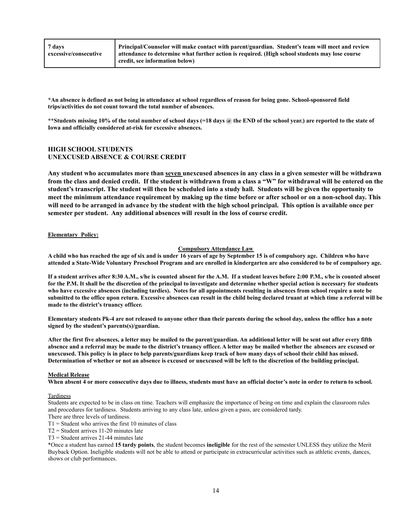| 7 days                | Principal/Counselor will make contact with parent/guardian. Student's team will meet and review |
|-----------------------|-------------------------------------------------------------------------------------------------|
| excessive/consecutive | attendance to determine what further action is required. (High school students may lose course  |
|                       | credit, see information below)                                                                  |

**\*An absence is defined as not being in attendance at school regardless of reason for being gone. School-sponsored field trips/activities do not count toward the total number of absences.** 

**\*\*Students missing 10% of the total number of school days (=18 days @ the END of the school year.) are reported to the state of Iowa and officially considered at-risk for excessive absences.** 

#### **HIGH SCHOOL STUDENTS UNEXCUSED ABSENCE & COURSE CREDIT**

Any student who accumulates more than seven unexcused absences in any class in a given semester will be withdrawn from the class and denied credit. If the student is withdrawn from a class a "W" for withdrawal will be entered on the student's transcript. The student will then be scheduled into a study hall. Students will be given the opportunity to meet the minimum attendance requirement by making up the time before or after school or on a non-school day. This will need to be arranged in advance by the student with the high school principal. This option is available once per **semester per student. Any additional absences will result in the loss of course credit.**

#### **Elementary Policy:**

#### **Compulsory Attendance Law**

**A child who has reached the age of six and is under 16 years of age by September 15 is of compulsory age. Children who have attended a State-Wide Voluntary Preschool Program and are enrolled in kindergarten are also considered to be of compulsory age.**

**If a student arrives after 8:30 A.M., s/he is counted absent for the A.M. If a student leaves before 2:00 P.M., s/he is counted absent for the P.M. It shall be the discretion of the principal to investigate and determine whether special action is necessary for students who have excessive absences (including tardies). Notes for all appointments resulting in absences from school require a note be submitted to the office upon return. Excessive absences can result in the child being declared truant at which time a referral will be made to the district's truancy officer.**

**Elementary students Pk-4 are not released to anyone other than their parents during the school day, unless the office has a note signed by the student's parents(s)/guardian.**

**After the first five absences, a letter may be mailed to the parent/guardian. An additional letter will be sent out after every fifth absence and a referral may be made to the district's truancy officer. A letter may be mailed whether the absences are excused or unexcused. This policy is in place to help parents/guardians keep track of how many days of school their child has missed. Determination of whether or not an absence is excused or unexcused will be left to the discretion of the building principal.**

#### **Medical Release**

**When absent 4 or more consecutive days due to illness, students must have an official doctor's note in order to return to school.** 

#### **Tardiness**

Students are expected to be in class on time. Teachers will emphasize the importance of being on time and explain the classroom rules and procedures for tardiness. Students arriving to any class late, unless given a pass, are considered tardy.

There are three levels of tardiness.

 $T1 =$  Student who arrives the first 10 minutes of class

T2 = Student arrives 11-20 minutes late

T3 = Student arrives 21-44 minutes late

\*Once a student has earned **15 tardy points**, the student becomes **ineligible** for the rest of the semester UNLESS they utilize the Merit Buyback Option. Ineligible students will not be able to attend or participate in extracurricular activities such as athletic events, dances, shows or club performances.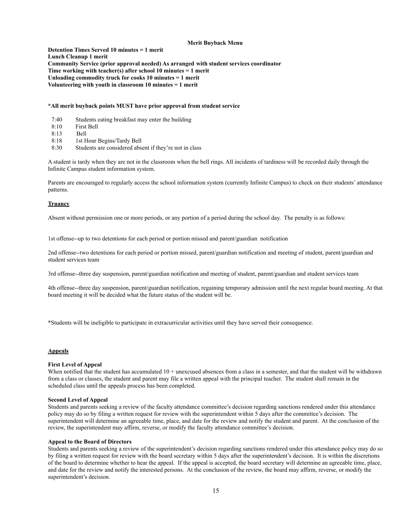#### **Merit Buyback Menu**

**Detention Times Served 10 minutes = 1 merit Lunch Cleanup 1 merit Community Service (prior approval needed) As arranged with student services coordinator Time working with teacher(s) after school 10 minutes = 1 merit Unloading commodity truck for cooks 10 minutes = 1 merit Volunteering with youth in classroom 10 minutes = 1 merit**

#### **\*All merit buyback points MUST have prior approval from student service**

- 7:40 Students eating breakfast may enter the building
- 8:10 First Bell
- 8:13 Bell
- 8:18 1st Hour Begins/Tardy Bell
- 8:30 Students are considered absent if they're not in class

A student is tardy when they are not in the classroom when the bell rings. All incidents of tardiness will be recorded daily through the Infinite Campus student information system.

Parents are encouraged to regularly access the school information system (currently Infinite Campus) to check on their students' attendance patterns.

#### **Truancy**

Absent without permission one or more periods, or any portion of a period during the school day. The penalty is as follows:

1st offense--up to two detentions for each period or portion missed and parent/guardian notification

2nd offense--two detentions for each period or portion missed, parent/guardian notification and meeting of student, parent/guardian and student services team

3rd offense--three day suspension, parent/guardian notification and meeting of student, parent/guardian and student services team

4th offense--three day suspension, parent/guardian notification, regaining temporary admission until the next regular board meeting. At that board meeting it will be decided what the future status of the student will be.

\*Students will be ineligible to participate in extracurricular activities until they have served their consequence.

#### **Appeals**

#### **First Level of Appeal**

When notified that the student has accumulated 10 + unexcused absences from a class in a semester, and that the student will be withdrawn from a class or classes, the student and parent may file a written appeal with the principal teacher. The student shall remain in the scheduled class until the appeals process has been completed.

#### **Second Level of Appeal**

Students and parents seeking a review of the faculty attendance committee's decision regarding sanctions rendered under this attendance policy may do so by filing a written request for review with the superintendent within 5 days after the committee's decision. The superintendent will determine an agreeable time, place, and date for the review and notify the student and parent. At the conclusion of the review, the superintendent may affirm, reverse, or modify the faculty attendance committee's decision.

#### **Appeal to the Board of Directors**

Students and parents seeking a review of the superintendent's decision regarding sanctions rendered under this attendance policy may do so by filing a written request for review with the board secretary within 5 days after the superintendent's decision. It is within the discretions of the board to determine whether to hear the appeal. If the appeal is accepted, the board secretary will determine an agreeable time, place, and date for the review and notify the interested persons. At the conclusion of the review, the board may affirm, reverse, or modify the superintendent's decision.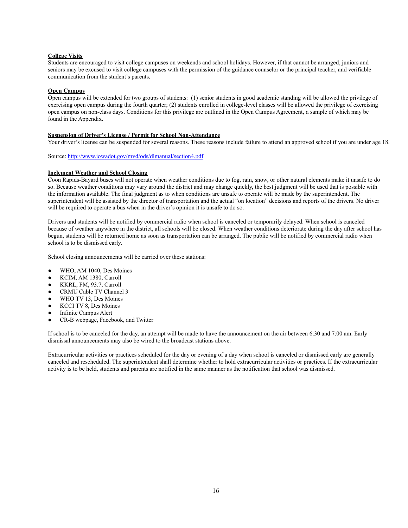#### **College Visits**

Students are encouraged to visit college campuses on weekends and school holidays. However, if that cannot be arranged, juniors and seniors may be excused to visit college campuses with the permission of the guidance counselor or the principal teacher, and verifiable communication from the student's parents.

#### **Open Campus**

Open campus will be extended for two groups of students: (1) senior students in good academic standing will be allowed the privilege of exercising open campus during the fourth quarter; (2) students enrolled in college-level classes will be allowed the privilege of exercising open campus on non-class days. Conditions for this privilege are outlined in the Open Campus Agreement, a sample of which may be found in the Appendix.

#### **Suspension of Driver's License / Permit for School Non-Attendance**

Your driver's license can be suspended for several reasons. These reasons include failure to attend an approved school if you are under age 18.

Source: <http://www.iowadot.gov/mvd/ods/dlmanual/section4.pdf>

#### **Inclement Weather and School Closing**

Coon Rapids-Bayard buses will not operate when weather conditions due to fog, rain, snow, or other natural elements make it unsafe to do so. Because weather conditions may vary around the district and may change quickly, the best judgment will be used that is possible with the information available. The final judgment as to when conditions are unsafe to operate will be made by the superintendent. The superintendent will be assisted by the director of transportation and the actual "on location" decisions and reports of the drivers. No driver will be required to operate a bus when in the driver's opinion it is unsafe to do so.

Drivers and students will be notified by commercial radio when school is canceled or temporarily delayed. When school is canceled because of weather anywhere in the district, all schools will be closed. When weather conditions deteriorate during the day after school has begun, students will be returned home as soon as transportation can be arranged. The public will be notified by commercial radio when school is to be dismissed early.

School closing announcements will be carried over these stations:

- WHO, AM 1040, Des Moines
- KCIM, AM 1380, Carroll
- KKRL, FM, 93.7, Carroll
- CRMU Cable TV Channel 3
- WHO TV 13, Des Moines
- KCCI TV 8, Des Moines
- Infinite Campus Alert
- CR-B webpage, Facebook, and Twitter

If school is to be canceled for the day, an attempt will be made to have the announcement on the air between 6:30 and 7:00 am. Early dismissal announcements may also be wired to the broadcast stations above.

Extracurricular activities or practices scheduled for the day or evening of a day when school is canceled or dismissed early are generally canceled and rescheduled. The superintendent shall determine whether to hold extracurricular activities or practices. If the extracurricular activity is to be held, students and parents are notified in the same manner as the notification that school was dismissed.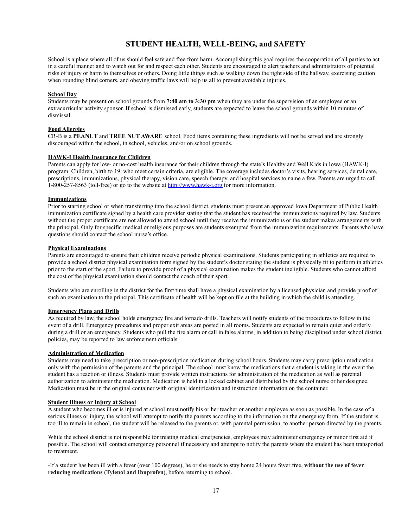# **STUDENT HEALTH, WELL-BEING, and SAFETY**

School is a place where all of us should feel safe and free from harm. Accomplishing this goal requires the cooperation of all parties to act in a careful manner and to watch out for and respect each other. Students are encouraged to alert teachers and administrators of potential risks of injury or harm to themselves or others. Doing little things such as walking down the right side of the hallway, exercising caution when rounding blind corners, and obeying traffic laws will help us all to prevent avoidable injuries.

#### **School Day**

Students may be present on school grounds from **7:40 am to 3:30 pm** when they are under the supervision of an employee or an extracurricular activity sponsor. If school is dismissed early, students are expected to leave the school grounds within 10 minutes of dismissal.

#### **Food Allergies**

CR-B is a **PEANUT** and **TREE NUT AWARE** school. Food items containing these ingredients will not be served and are strongly discouraged within the school, in school, vehicles, and/or on school grounds.

#### **HAWK-I Health Insurance for Children**

Parents can apply for low- or no-cost health insurance for their children through the state's Healthy and Well Kids in Iowa (HAWK-I) program. Children, birth to 19, who meet certain criteria, are eligible. The coverage includes doctor's visits, hearing services, dental care, prescriptions, immunizations, physical therapy, vision care, speech therapy, and hospital services to name a few. Parents are urged to call 1-800-257-8563 (toll-free) or go to the website at http://www.hawk-i.org for more information.

#### **Immunizations**

Prior to starting school or when transferring into the school district, students must present an approved Iowa Department of Public Health immunization certificate signed by a health care provider stating that the student has received the immunizations required by law. Students without the proper certificate are not allowed to attend school until they receive the immunizations or the student makes arrangements with the principal. Only for specific medical or religious purposes are students exempted from the immunization requirements. Parents who have questions should contact the school nurse's office.

#### **Physical Examinations**

Parents are encouraged to ensure their children receive periodic physical examinations. Students participating in athletics are required to provide a school district physical examination form signed by the student's doctor stating the student is physically fit to perform in athletics prior to the start of the sport. Failure to provide proof of a physical examination makes the student ineligible. Students who cannot afford the cost of the physical examination should contact the coach of their sport.

Students who are enrolling in the district for the first time shall have a physical examination by a licensed physician and provide proof of such an examination to the principal. This certificate of health will be kept on file at the building in which the child is attending.

#### **Emergency Plans and Drills**

As required by law, the school holds emergency fire and tornado drills. Teachers will notify students of the procedures to follow in the event of a drill. Emergency procedures and proper exit areas are posted in all rooms. Students are expected to remain quiet and orderly during a drill or an emergency. Students who pull the fire alarm or call in false alarms, in addition to being disciplined under school district policies, may be reported to law enforcement officials.

#### **Administration of Medication**

Students may need to take prescription or non-prescription medication during school hours. Students may carry prescription medication only with the permission of the parents and the principal. The school must know the medications that a student is taking in the event the student has a reaction or illness. Students must provide written instructions for administration of the medication as well as parental authorization to administer the medication. Medication is held in a locked cabinet and distributed by the school nurse or her designee. Medication must be in the original container with original identification and instruction information on the container.

#### **Student Illness or Injury at School**

A student who becomes ill or is injured at school must notify his or her teacher or another employee as soon as possible. In the case of a serious illness or injury, the school will attempt to notify the parents according to the information on the emergency form. If the student is too ill to remain in school, the student will be released to the parents or, with parental permission, to another person directed by the parents.

While the school district is not responsible for treating medical emergencies, employees may administer emergency or minor first aid if possible. The school will contact emergency personnel if necessary and attempt to notify the parents where the student has been transported to treatment.

-If a student has been ill with a fever (over 100 degrees), he or she needs to stay home 24 hours fever free, **without the use of fever reducing medications (Tylenol and Ibuprofen)**, before returning to school.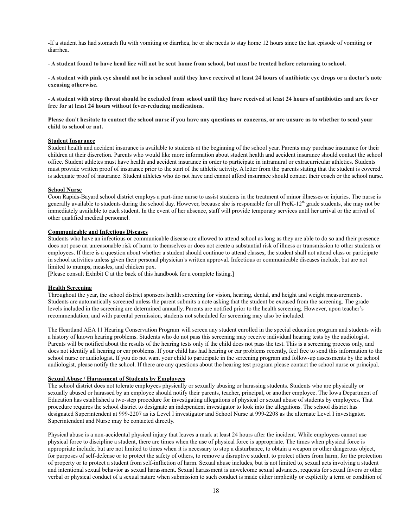-If a student has had stomach flu with vomiting or diarrhea, he or she needs to stay home 12 hours since the last episode of vomiting or diarrhea.

**- A student found to have head lice will not be sent home from school, but must be treated before returning to school.**

**- A student with pink eye should not be in school until they have received at least 24 hours of antibiotic eye drops or a doctor's note excusing otherwise.**

**- A student with strep throat should be excluded from school until they have received at least 24 hours of antibiotics and are fever free for at least 24 hours without fever-reducing medications.**

**Please don't hesitate to contact the school nurse if you have any questions or concerns, or are unsure as to whether to send your child to school or not.**

#### **Student Insurance**

Student health and accident insurance is available to students at the beginning of the school year. Parents may purchase insurance for their children at their discretion. Parents who would like more information about student health and accident insurance should contact the school office. Student athletes must have health and accident insurance in order to participate in intramural or extracurricular athletics. Students must provide written proof of insurance prior to the start of the athletic activity. A letter from the parents stating that the student is covered is adequate proof of insurance. Student athletes who do not have and cannot afford insurance should contact their coach or the school nurse.

#### **School Nurse**

Coon Rapids-Bayard school district employs a part-time nurse to assist students in the treatment of minor illnesses or injuries. The nurse is generally available to students during the school day. However, because she is responsible for all PreK-12<sup>th</sup> grade students, she may not be immediately available to each student. In the event of her absence, staff will provide temporary services until her arrival or the arrival of other qualified medical personnel.

#### **Communicable and Infectious Diseases**

Students who have an infectious or communicable disease are allowed to attend school as long as they are able to do so and their presence does not pose an unreasonable risk of harm to themselves or does not create a substantial risk of illness or transmission to other students or employees. If there is a question about whether a student should continue to attend classes, the student shall not attend class or participate in school activities unless given their personal physician's written approval. Infectious or communicable diseases include, but are not limited to mumps, measles, and chicken pox.

[Please consult Exhibit C at the back of this handbook for a complete listing.]

#### **Health Screening**

Throughout the year, the school district sponsors health screening for vision, hearing, dental, and height and weight measurements. Students are automatically screened unless the parent submits a note asking that the student be excused from the screening. The grade levels included in the screening are determined annually. Parents are notified prior to the health screening. However, upon teacher's recommendation, and with parental permission, students not scheduled for screening may also be included.

The Heartland AEA 11 Hearing Conservation Program will screen any student enrolled in the special education program and students with a history of known hearing problems. Students who do not pass this screening may receive individual hearing tests by the audiologist. Parents will be notified about the results of the hearing tests only if the child does not pass the test. This is a screening process only, and does not identify all hearing or ear problems. If your child has had hearing or ear problems recently, feel free to send this information to the school nurse or audiologist. If you do not want your child to participate in the screening program and follow-up assessments by the school audiologist, please notify the school. If there are any questions about the hearing test program please contact the school nurse or principal.

#### **Sexual Abuse / Harassment of Students by Employees**

The school district does not tolerate employees physically or sexually abusing or harassing students. Students who are physically or sexually abused or harassed by an employee should notify their parents, teacher, principal, or another employee. The Iowa Department of Education has established a two-step procedure for investigating allegations of physical or sexual abuse of students by employees. That procedure requires the school district to designate an independent investigator to look into the allegations. The school district has designated Superintendent at 999-2207 as its Level I investigator and School Nurse at 999-2208 as the alternate Level I investigator. Superintendent and Nurse may be contacted directly.

Physical abuse is a non-accidental physical injury that leaves a mark at least 24 hours after the incident. While employees cannot use physical force to discipline a student, there are times when the use of physical force is appropriate. The times when physical force is appropriate include, but are not limited to times when it is necessary to stop a disturbance, to obtain a weapon or other dangerous object, for purposes of self-defense or to protect the safety of others, to remove a disruptive student, to protect others from harm, for the protection of property or to protect a student from self-infliction of harm. Sexual abuse includes, but is not limited to, sexual acts involving a student and intentional sexual behavior as sexual harassment. Sexual harassment is unwelcome sexual advances, requests for sexual favors or other verbal or physical conduct of a sexual nature when submission to such conduct is made either implicitly or explicitly a term or condition of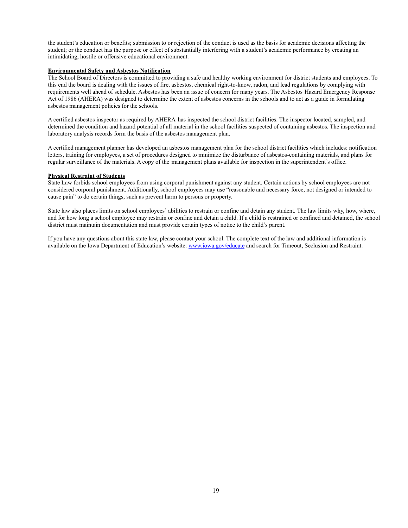the student's education or benefits; submission to or rejection of the conduct is used as the basis for academic decisions affecting the student; or the conduct has the purpose or effect of substantially interfering with a student's academic performance by creating an intimidating, hostile or offensive educational environment.

#### **Environmental Safety and Asbestos Notification**

The School Board of Directors is committed to providing a safe and healthy working environment for district students and employees. To this end the board is dealing with the issues of fire, asbestos, chemical right-to-know, radon, and lead regulations by complying with requirements well ahead of schedule. Asbestos has been an issue of concern for many years. The Asbestos Hazard Emergency Response Act of 1986 (AHERA) was designed to determine the extent of asbestos concerns in the schools and to act as a guide in formulating asbestos management policies for the schools.

A certified asbestos inspector as required by AHERA has inspected the school district facilities. The inspector located, sampled, and determined the condition and hazard potential of all material in the school facilities suspected of containing asbestos. The inspection and laboratory analysis records form the basis of the asbestos management plan.

A certified management planner has developed an asbestos management plan for the school district facilities which includes: notification letters, training for employees, a set of procedures designed to minimize the disturbance of asbestos-containing materials, and plans for regular surveillance of the materials. A copy of the management plans available for inspection in the superintendent's office.

#### **Physical Restraint of Students**

State Law forbids school employees from using corporal punishment against any student. Certain actions by school employees are not considered corporal punishment. Additionally, school employees may use "reasonable and necessary force, not designed or intended to cause pain" to do certain things, such as prevent harm to persons or property.

State law also places limits on school employees' abilities to restrain or confine and detain any student. The law limits why, how, where, and for how long a school employee may restrain or confine and detain a child. If a child is restrained or confined and detained, the school district must maintain documentation and must provide certain types of notice to the child's parent.

If you have any questions about this state law, please contact your school. The complete text of the law and additional information is available on the Iowa Department of Education's website: www.jowa.gov/educate and search for Timeout, Seclusion and Restraint.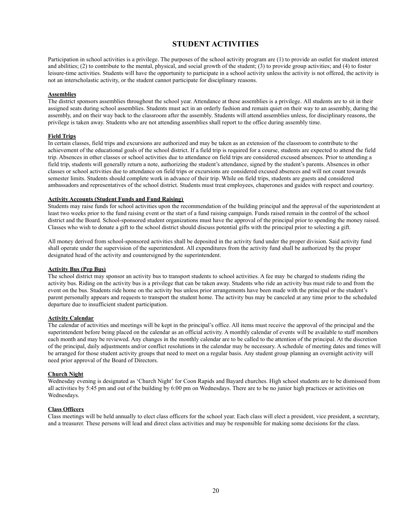# **STUDENT ACTIVITIES**

Participation in school activities is a privilege. The purposes of the school activity program are (1) to provide an outlet for student interest and abilities; (2) to contribute to the mental, physical, and social growth of the student; (3) to provide group activities; and (4) to foster leisure-time activities. Students will have the opportunity to participate in a school activity unless the activity is not offered, the activity is not an interscholastic activity, or the student cannot participate for disciplinary reasons.

#### **Assemblies**

The district sponsors assemblies throughout the school year. Attendance at these assemblies is a privilege. All students are to sit in their assigned seats during school assemblies. Students must act in an orderly fashion and remain quiet on their way to an assembly, during the assembly, and on their way back to the classroom after the assembly. Students will attend assemblies unless, for disciplinary reasons, the privilege is taken away. Students who are not attending assemblies shall report to the office during assembly time.

#### **Field Trips**

In certain classes, field trips and excursions are authorized and may be taken as an extension of the classroom to contribute to the achievement of the educational goals of the school district. If a field trip is required for a course, students are expected to attend the field trip. Absences in other classes or school activities due to attendance on field trips are considered excused absences. Prior to attending a field trip, students will generally return a note, authorizing the student's attendance, signed by the student's parents. Absences in other classes or school activities due to attendance on field trips or excursions are considered excused absences and will not count towards semester limits. Students should complete work in advance of their trip. While on field trips, students are guests and considered ambassadors and representatives of the school district. Students must treat employees, chaperones and guides with respect and courtesy.

#### **Activity Accounts (Student Funds and Fund Raising)**

Students may raise funds for school activities upon the recommendation of the building principal and the approval of the superintendent at least two weeks prior to the fund raising event or the start of a fund raising campaign. Funds raised remain in the control of the school district and the Board. School-sponsored student organizations must have the approval of the principal prior to spending the money raised. Classes who wish to donate a gift to the school district should discuss potential gifts with the principal prior to selecting a gift.

All money derived from school-sponsored activities shall be deposited in the activity fund under the proper division. Said activity fund shall operate under the supervision of the superintendent. All expenditures from the activity fund shall be authorized by the proper designated head of the activity and countersigned by the superintendent.

#### **Activity Bus (Pep Bus)**

The school district may sponsor an activity bus to transport students to school activities. A fee may be charged to students riding the activity bus. Riding on the activity bus is a privilege that can be taken away. Students who ride an activity bus must ride to and from the event on the bus. Students ride home on the activity bus unless prior arrangements have been made with the principal or the student's parent personally appears and requests to transport the student home. The activity bus may be canceled at any time prior to the scheduled departure due to insufficient student participation.

#### **Activity Calendar**

The calendar of activities and meetings will be kept in the principal's office. All items must receive the approval of the principal and the superintendent before being placed on the calendar as an official activity. A monthly calendar of events will be available to staff members each month and may be reviewed. Any changes in the monthly calendar are to be called to the attention of the principal. At the discretion of the principal, daily adjustments and/or conflict resolutions in the calendar may be necessary. A schedule of meeting dates and times will be arranged for those student activity groups that need to meet on a regular basis. Any student group planning an overnight activity will need prior approval of the Board of Directors.

#### **Church Night**

Wednesday evening is designated as 'Church Night' for Coon Rapids and Bayard churches. High school students are to be dismissed from all activities by 5:45 pm and out of the building by 6:00 pm on Wednesdays. There are to be no junior high practices or activities on Wednesdays.

#### **Class Officers**

Class meetings will be held annually to elect class officers for the school year. Each class will elect a president, vice president, a secretary, and a treasurer. These persons will lead and direct class activities and may be responsible for making some decisions for the class.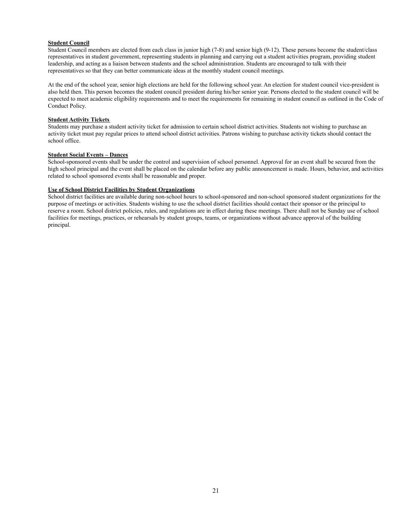#### **Student Council**

Student Council members are elected from each class in junior high (7-8) and senior high (9-12). These persons become the student/class representatives in student government, representing students in planning and carrying out a student activities program, providing student leadership, and acting as a liaison between students and the school administration. Students are encouraged to talk with their representatives so that they can better communicate ideas at the monthly student council meetings.

At the end of the school year, senior high elections are held for the following school year. An election for student council vice-president is also held then. This person becomes the student council president during his/her senior year. Persons elected to the student council will be expected to meet academic eligibility requirements and to meet the requirements for remaining in student council as outlined in the Code of Conduct Policy.

#### **Student Activity Tickets**

Students may purchase a student activity ticket for admission to certain school district activities. Students not wishing to purchase an activity ticket must pay regular prices to attend school district activities. Patrons wishing to purchase activity tickets should contact the school office.

#### **Student Social Events – Dances**

School-sponsored events shall be under the control and supervision of school personnel. Approval for an event shall be secured from the high school principal and the event shall be placed on the calendar before any public announcement is made. Hours, behavior, and activities related to school sponsored events shall be reasonable and proper.

#### **Use of School District Facilities by Student Organizations**

School district facilities are available during non-school hours to school-sponsored and non-school sponsored student organizations for the purpose of meetings or activities. Students wishing to use the school district facilities should contact their sponsor or the principal to reserve a room. School district policies, rules, and regulations are in effect during these meetings. There shall not be Sunday use of school facilities for meetings, practices, or rehearsals by student groups, teams, or organizations without advance approval of the building principal.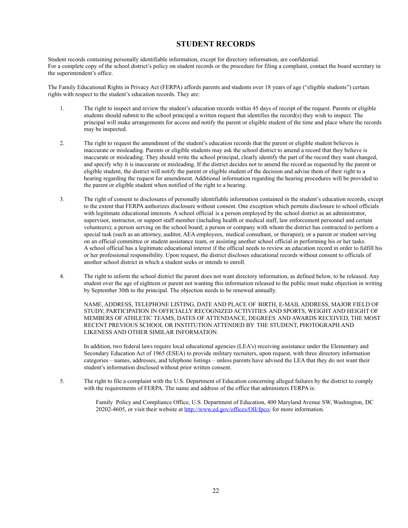# **STUDENT RECORDS**

Student records containing personally identifiable information, except for directory information, are confidential. For a complete copy of the school district's policy on student records or the procedure for filing a complaint, contact the board secretary in the superintendent's office.

The Family Educational Rights in Privacy Act (FERPA) affords parents and students over 18 years of age ("eligible students") certain rights with respect to the student's education records. They are:

- 1. The right to inspect and review the student's education records within 45 days of receipt of the request. Parents or eligible students should submit to the school principal a written request that identifies the record(s) they wish to inspect. The principal will make arrangements for access and notify the parent or eligible student of the time and place where the records may be inspected.
- 2. The right to request the amendment of the student's education records that the parent or eligible student believes is inaccurate or misleading. Parents or eligible students may ask the school district to amend a record that they believe is inaccurate or misleading. They should write the school principal, clearly identify the part of the record they want changed, and specify why it is inaccurate or misleading. If the district decides not to amend the record as requested by the parent or eligible student, the district will notify the parent or eligible student of the decision and advise them of their right to a hearing regarding the request for amendment. Additional information regarding the hearing procedures will be provided to the parent or eligible student when notified of the right to a hearing.
- 3. The right of consent to disclosures of personally identifiable information contained in the student's education records, except to the extent that FERPA authorizes disclosure without consent. One exception which permits disclosure to school officials with legitimate educational interests. A school official is a person employed by the school district as an administrator, supervisor, instructor, or support staff member (including health or medical staff, law enforcement personnel and certain volunteers); a person serving on the school board; a person or company with whom the district has contracted to perform a special task (such as an attorney, auditor, AEA employees, medical consultant, or therapist); or a parent or student serving on an official committee or student assistance team, or assisting another school official in performing his or her tasks. A school official has a legitimate educational interest if the official needs to review an education record in order to fulfill his or her professional responsibility. Upon request, the district discloses educational records without consent to officials of another school district in which a student seeks or intends to enroll.
- 4. The right to inform the school district the parent does not want directory information, as defined below, to be released. Any student over the age of eighteen or parent not wanting this information released to the public must make objection in writing by September 30th to the principal. The objection needs to be renewed annually.

NAME, ADDRESS, TELEPHONE LISTING, DATE AND PLACE OF BIRTH, E-MAIL ADDRESS, MAJOR FIELD OF STUDY, PARTICIPATION IN OFFICIALLY RECOGNIZED ACTIVITIES AND SPORTS, WEIGHT AND HEIGHT OF MEMBERS OF ATHLETIC TEAMS, DATES OF ATTENDANCE, DEGREES AND AWARDS RECEIVED, THE MOST RECENT PREVIOUS SCHOOL OR INSTITUTION ATTENDED BY THE STUDENT, PHOTOGRAPH AND LIKENESS AND OTHER SIMILAR INFORMATION.

In addition, two federal laws require local educational agencies (LEA's) receiving assistance under the Elementary and Secondary Education Act of 1965 (ESEA) to provide military recruiters, upon request, with three directory information categories – names, addresses, and telephone listings – unless parents have advised the LEA that they do not want their student's information disclosed without prior written consent.

5. The right to file a complaint with the U.S. Department of Education concerning alleged failures by the district to comply with the requirements of FERPA. The name and address of the office that administers FERPA is:

> Family Policy and Compliance Office, U.S. Department of Education, 400 Maryland Avenue SW, Washington, DC 20202-4605, or visit their website at <http://www.ed.gov/offices/OII/fpco/> for more information.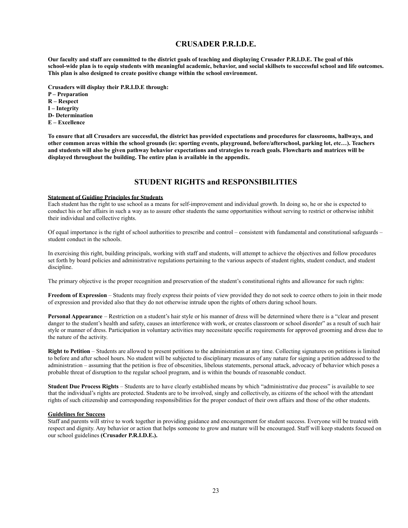### **CRUSADER P.R.I.D.E.**

**Our faculty and staff are committed to the district goals of teaching and displaying Crusader P.R.I.D.E. The goal of this school-wide plan is to equip students with meaningful academic, behavior, and social skillsets to successful school and life outcomes. This plan is also designed to create positive change within the school environment.**

**Crusaders will display their P.R.I.D.E through:**

**P – Preparation**

**R – Respect**

**I – Integrity**

**D- Determination**

**E – Excellence**

**To ensure that all Crusaders are successful, the district has provided expectations and procedures for classrooms, hallways, and other common areas within the school grounds (ie: sporting events, playground, before/afterschool, parking lot, etc…). Teachers and students will also be given pathway behavior expectations and strategies to reach goals. Flowcharts and matrices will be displayed throughout the building. The entire plan is available in the appendix.**

# **STUDENT RIGHTS and RESPONSIBILITIES**

#### **Statement of Guiding Principles for Students**

Each student has the right to use school as a means for self-improvement and individual growth. In doing so, he or she is expected to conduct his or her affairs in such a way as to assure other students the same opportunities without serving to restrict or otherwise inhibit their individual and collective rights.

Of equal importance is the right of school authorities to prescribe and control – consistent with fundamental and constitutional safeguards – student conduct in the schools.

In exercising this right, building principals, working with staff and students, will attempt to achieve the objectives and follow procedures set forth by board policies and administrative regulations pertaining to the various aspects of student rights, student conduct, and student discipline.

The primary objective is the proper recognition and preservation of the student's constitutional rights and allowance for such rights:

**Freedom of Expression** – Students may freely express their points of view provided they do not seek to coerce others to join in their mode of expression and provided also that they do not otherwise intrude upon the rights of others during school hours.

**Personal Appearance** – Restriction on a student's hair style or his manner of dress will be determined where there is a "clear and present" danger to the student's health and safety, causes an interference with work, or creates classroom or school disorder" as a result of such hair style or manner of dress. Participation in voluntary activities may necessitate specific requirements for approved grooming and dress due to the nature of the activity.

**Right to Petition** – Students are allowed to present petitions to the administration at any time. Collecting signatures on petitions is limited to before and after school hours. No student will be subjected to disciplinary measures of any nature for signing a petition addressed to the administration – assuming that the petition is free of obscenities, libelous statements, personal attack, advocacy of behavior which poses a probable threat of disruption to the regular school program, and is within the bounds of reasonable conduct.

**Student Due Process Rights** – Students are to have clearly established means by which "administrative due process" is available to see that the individual's rights are protected. Students are to be involved, singly and collectively, as citizens of the school with the attendant rights of such citizenship and corresponding responsibilities for the proper conduct of their own affairs and those of the other students.

#### **Guidelines for Success**

Staff and parents will strive to work together in providing guidance and encouragement for student success. Everyone will be treated with respect and dignity. Any behavior or action that helps someone to grow and mature will be encouraged. Staff will keep students focused on our school guidelines **(Crusader P.R.I.D.E.).**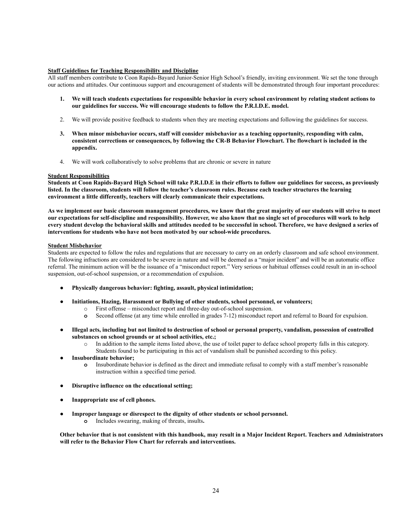#### **Staff Guidelines for Teaching Responsibility and Discipline**

All staff members contribute to Coon Rapids-Bayard Junior-Senior High School's friendly, inviting environment. We set the tone through our actions and attitudes. Our continuous support and encouragement of students will be demonstrated through four important procedures:

- **1. We will teach students expectations for responsible behavior in every school environment by relating student actions to our guidelines for success. We will encourage students to follow the P.R.I.D.E. model.**
- 2. We will provide positive feedback to students when they are meeting expectations and following the guidelines for success.
- **3. When minor misbehavior occurs, staff will consider misbehavior as a teaching opportunity, responding with calm, consistent corrections or consequences, by following the CR-B Behavior Flowchart. The flowchart is included in the appendix.**
- 4. We will work collaboratively to solve problems that are chronic or severe in nature

#### **Student Responsibilities**

**Students at Coon Rapids-Bayard High School will take P.R.I.D.E in their efforts to follow our guidelines for success, as previously listed. In the classroom, students will follow the teacher's classroom rules. Because each teacher structures the learning environment a little differently, teachers will clearly communicate their expectations.**

**As we implement our basic classroom management procedures, we know that the great majority of our students will strive to meet our expectations for self-discipline and responsibility. However, we also know that no single set of procedures will work to help every student develop the behavioral skills and attitudes needed to be successful in school. Therefore, we have designed a series of interventions for students who have not been motivated by our school-wide procedures.**

#### **Student Misbehavior**

Students are expected to follow the rules and regulations that are necessary to carry on an orderly classroom and safe school environment. The following infractions are considered to be severe in nature and will be deemed as a "major incident" and will be an automatic office referral. The minimum action will be the issuance of a "misconduct report." Very serious or habitual offenses could result in an in-school suspension, out-of-school suspension, or a recommendation of expulsion.

- **● Physically dangerous behavior: fighting, assault, physical intimidation;**
- **● Initiations, Hazing, Harassment or Bullying of other students, school personnel, or volunteers;**
	- o First offense misconduct report and three-day out-of-school suspension.
	- **o** Second offense (at any time while enrolled in grades 7-12) misconduct report and referral to Board for expulsion.
- **● Illegal acts, including but not limited to destruction of school or personal property, vandalism, possession of controlled substances on school grounds or at school activities, etc.;**
	- o In addition to the sample items listed above, the use of toilet paper to deface school property falls in this category. Students found to be participating in this act of vandalism shall be punished according to this policy.
- **● Insubordinate behavior;**
	- **o** Insubordinate behavior is defined as the direct and immediate refusal to comply with a staff member's reasonable instruction within a specified time period.
- **● Disruptive influence on the educational setting;**
- **● Inappropriate use of cell phones.**
- **● Improper language or disrespect to the dignity of other students or school personnel.**
	- **o** Includes swearing, making of threats, insults**.**

**Other behavior that is not consistent with this handbook, may result in a Major Incident Report. Teachers and Administrators will refer to the Behavior Flow Chart for referrals and interventions.**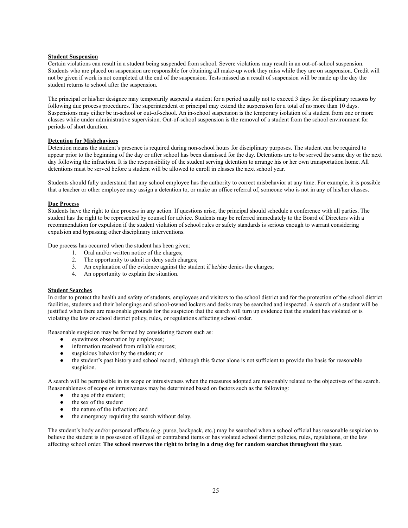#### **Student Suspension**

Certain violations can result in a student being suspended from school. Severe violations may result in an out-of-school suspension. Students who are placed on suspension are responsible for obtaining all make-up work they miss while they are on suspension. Credit will not be given if work is not completed at the end of the suspension. Tests missed as a result of suspension will be made up the day the student returns to school after the suspension.

The principal or his/her designee may temporarily suspend a student for a period usually not to exceed 3 days for disciplinary reasons by following due process procedures. The superintendent or principal may extend the suspension for a total of no more than 10 days. Suspensions may either be in-school or out-of-school. An in-school suspension is the temporary isolation of a student from one or more classes while under administrative supervision. Out-of-school suspension is the removal of a student from the school environment for periods of short duration.

#### **Detention for Misbehaviors**

Detention means the student's presence is required during non-school hours for disciplinary purposes. The student can be required to appear prior to the beginning of the day or after school has been dismissed for the day. Detentions are to be served the same day or the next day following the infraction. It is the responsibility of the student serving detention to arrange his or her own transportation home. All detentions must be served before a student will be allowed to enroll in classes the next school year.

Students should fully understand that any school employee has the authority to correct misbehavior at any time. For example, it is possible that a teacher or other employee may assign a detention to, or make an office referral of, someone who is not in any of his/her classes.

#### **Due Process**

Students have the right to due process in any action. If questions arise, the principal should schedule a conference with all parties. The student has the right to be represented by counsel for advice. Students may be referred immediately to the Board of Directors with a recommendation for expulsion if the student violation of school rules or safety standards is serious enough to warrant considering expulsion and bypassing other disciplinary interventions.

Due process has occurred when the student has been given:

- 1. Oral and/or written notice of the charges;
- 2. The opportunity to admit or deny such charges;
- 3. An explanation of the evidence against the student if he/she denies the charges;
- 4. An opportunity to explain the situation.

#### **Student Searches**

In order to protect the health and safety of students, employees and visitors to the school district and for the protection of the school district facilities, students and their belongings and school-owned lockers and desks may be searched and inspected. A search of a student will be justified when there are reasonable grounds for the suspicion that the search will turn up evidence that the student has violated or is violating the law or school district policy, rules, or regulations affecting school order.

Reasonable suspicion may be formed by considering factors such as:

- eyewitness observation by employees;
- information received from reliable sources;
- suspicious behavior by the student; or
- the student's past history and school record, although this factor alone is not sufficient to provide the basis for reasonable suspicion.

A search will be permissible in its scope or intrusiveness when the measures adopted are reasonably related to the objectives of the search. Reasonableness of scope or intrusiveness may be determined based on factors such as the following:

- the age of the student;
- the sex of the student
- the nature of the infraction; and
- the emergency requiring the search without delay.

The student's body and/or personal effects (e.g. purse, backpack, etc.) may be searched when a school official has reasonable suspicion to believe the student is in possession of illegal or contraband items or has violated school district policies, rules, regulations, or the law affecting school order. **The school reserves the right to bring in a drug dog for random searches throughout the year.**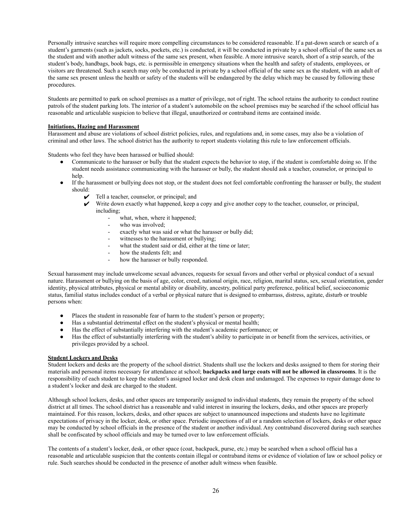Personally intrusive searches will require more compelling circumstances to be considered reasonable. If a pat-down search or search of a student's garments (such as jackets, socks, pockets, etc.) is conducted, it will be conducted in private by a school official of the same sex as the student and with another adult witness of the same sex present, when feasible. A more intrusive search, short of a strip search, of the student's body, handbags, book bags, etc. is permissible in emergency situations when the health and safety of students, employees, or visitors are threatened. Such a search may only be conducted in private by a school official of the same sex as the student, with an adult of the same sex present unless the health or safety of the students will be endangered by the delay which may be caused by following these procedures.

Students are permitted to park on school premises as a matter of privilege, not of right. The school retains the authority to conduct routine patrols of the student parking lots. The interior of a student's automobile on the school premises may be searched if the school official has reasonable and articulable suspicion to believe that illegal, unauthorized or contraband items are contained inside.

#### **Initiations, Hazing and Harassment**

Harassment and abuse are violations of school district policies, rules, and regulations and, in some cases, may also be a violation of criminal and other laws. The school district has the authority to report students violating this rule to law enforcement officials.

Students who feel they have been harassed or bullied should:

- Communicate to the harasser or bully that the student expects the behavior to stop, if the student is comfortable doing so. If the student needs assistance communicating with the harasser or bully, the student should ask a teacher, counselor, or principal to help.
- If the harassment or bullying does not stop, or the student does not feel comfortable confronting the harasser or bully, the student should:
	- $\checkmark$  Tell a teacher, counselor, or principal; and
	- $\checkmark$  Write down exactly what happened, keep a copy and give another copy to the teacher, counselor, or principal, including;
		- - what, when, where it happened; who was involved;
			-
			- exactly what was said or what the harasser or bully did;
			- witnesses to the harassment or bullying;
			- what the student said or did, either at the time or later;
			- how the students felt; and
			- how the harasser or bully responded.

Sexual harassment may include unwelcome sexual advances, requests for sexual favors and other verbal or physical conduct of a sexual nature. Harassment or bullying on the basis of age, color, creed, national origin, race, religion, marital status, sex, sexual orientation, gender identity, physical attributes, physical or mental ability or disability, ancestry, political party preference, political belief, socioeconomic status, familial status includes conduct of a verbal or physical nature that is designed to embarrass, distress, agitate, disturb or trouble persons when:

- Places the student in reasonable fear of harm to the student's person or property;
- Has a substantial detrimental effect on the student's physical or mental health;
- Has the effect of substantially interfering with the student's academic performance; or
- Has the effect of substantially interfering with the student's ability to participate in or benefit from the services, activities, or privileges provided by a school.

#### **Student Lockers and Desks**

Student lockers and desks are the property of the school district. Students shall use the lockers and desks assigned to them for storing their materials and personal items necessary for attendance at school; **backpacks and large coats will not be allowed in classrooms**. It is the responsibility of each student to keep the student's assigned locker and desk clean and undamaged. The expenses to repair damage done to a student's locker and desk are charged to the student.

Although school lockers, desks, and other spaces are temporarily assigned to individual students, they remain the property of the school district at all times. The school district has a reasonable and valid interest in insuring the lockers, desks, and other spaces are properly maintained. For this reason, lockers, desks, and other spaces are subject to unannounced inspections and students have no legitimate expectations of privacy in the locker, desk, or other space. Periodic inspections of all or a random selection of lockers, desks or other space may be conducted by school officials in the presence of the student or another individual. Any contraband discovered during such searches shall be confiscated by school officials and may be turned over to law enforcement officials.

The contents of a student's locker, desk, or other space (coat, backpack, purse, etc.) may be searched when a school official has a reasonable and articulable suspicion that the contents contain illegal or contraband items or evidence of violation of law or school policy or rule. Such searches should be conducted in the presence of another adult witness when feasible.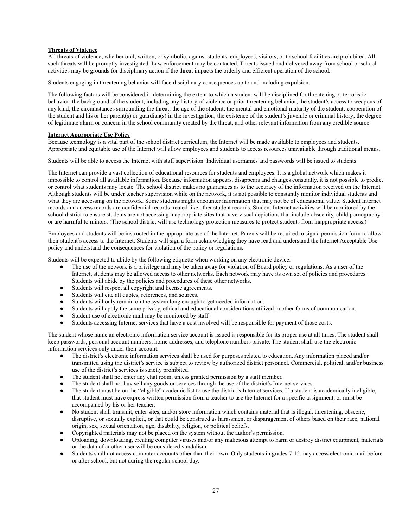#### **Threats of Violence**

All threats of violence, whether oral, written, or symbolic, against students, employees, visitors, or to school facilities are prohibited. All such threats will be promptly investigated. Law enforcement may be contacted. Threats issued and delivered away from school or school activities may be grounds for disciplinary action if the threat impacts the orderly and efficient operation of the school.

Students engaging in threatening behavior will face disciplinary consequences up to and including expulsion.

The following factors will be considered in determining the extent to which a student will be disciplined for threatening or terroristic behavior: the background of the student, including any history of violence or prior threatening behavior; the student's access to weapons of any kind; the circumstances surrounding the threat; the age of the student; the mental and emotional maturity of the student; cooperation of the student and his or her parent(s) or guardian(s) in the investigation; the existence of the student's juvenile or criminal history; the degree of legitimate alarm or concern in the school community created by the threat; and other relevant information from any credible source.

#### **Internet Appropriate Use Policy**

Because technology is a vital part of the school district curriculum, the Internet will be made available to employees and students. Appropriate and equitable use of the Internet will allow employees and students to access resources unavailable through traditional means.

Students will be able to access the Internet with staff supervision. Individual usernames and passwords will be issued to students.

The Internet can provide a vast collection of educational resources for students and employees. It is a global network which makes it impossible to control all available information. Because information appears, disappears and changes constantly, it is not possible to predict or control what students may locate. The school district makes no guarantees as to the accuracy of the information received on the Internet. Although students will be under teacher supervision while on the network, it is not possible to constantly monitor individual students and what they are accessing on the network. Some students might encounter information that may not be of educational value. Student Internet records and access records are confidential records treated like other student records. Student Internet activities will be monitored by the school district to ensure students are not accessing inappropriate sites that have visual depictions that include obscenity, child pornography or are harmful to minors. (The school district will use technology protection measures to protect students from inappropriate access.)

Employees and students will be instructed in the appropriate use of the Internet. Parents will be required to sign a permission form to allow their student's access to the Internet. Students will sign a form acknowledging they have read and understand the Internet Acceptable Use policy and understand the consequences for violation of the policy or regulations.

Students will be expected to abide by the following etiquette when working on any electronic device:

- The use of the network is a privilege and may be taken away for violation of Board policy or regulations. As a user of the Internet, students may be allowed access to other networks. Each network may have its own set of policies and procedures. Students will abide by the policies and procedures of these other networks.
- Students will respect all copyright and license agreements.
- Students will cite all quotes, references, and sources.
- Students will only remain on the system long enough to get needed information.
- Students will apply the same privacy, ethical and educational considerations utilized in other forms of communication.
- Student use of electronic mail may be monitored by staff.
- Students accessing Internet services that have a cost involved will be responsible for payment of those costs.

The student whose name an electronic information service account is issued is responsible for its proper use at all times. The student shall keep passwords, personal account numbers, home addresses, and telephone numbers private. The student shall use the electronic information services only under their account.

- The district's electronic information services shall be used for purposes related to education. Any information placed and/or transmitted using the district's service is subject to review by authorized district personnel. Commercial, political, and/or business use of the district's services is strictly prohibited.
- The student shall not enter any chat room, unless granted permission by a staff member.
- The student shall not buy sell any goods or services through the use of the district's Internet services.
- The student must be on the "eligible" academic list to use the district's Internet services. If a student is academically ineligible, that student must have express written permission from a teacher to use the Internet for a specific assignment, or must be accompanied by his or her teacher.
- No student shall transmit, enter sites, and/or store information which contains material that is illegal, threatening, obscene, disruptive, or sexually explicit, or that could be construed as harassment or disparagement of others based on their race, national origin, sex, sexual orientation, age, disability, religion, or political beliefs.
- Copyrighted materials may not be placed on the system without the author's permission.
- Uploading, downloading, creating computer viruses and/or any malicious attempt to harm or destroy district equipment, materials or the data of another user will be considered vandalism.
- Students shall not access computer accounts other than their own. Only students in grades 7-12 may access electronic mail before or after school, but not during the regular school day.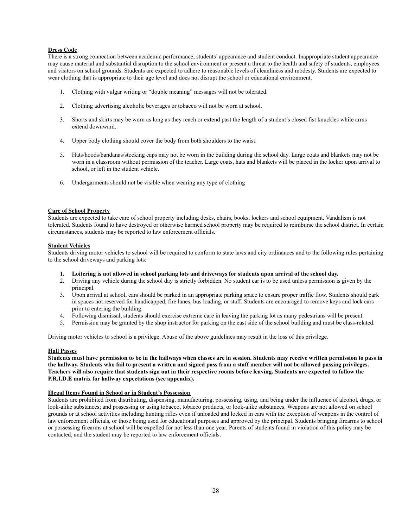#### **Dress Code**

There is a strong connection between academic performance, students' appearance and student conduct. Inappropriate student appearance may cause material and substantial disruption to the school environment or present a threat to the health and safety of students, employees and visitors on school grounds. Students are expected to adhere to reasonable levels of cleanliness and modesty. Students are expected to wear clothing that is appropriate to their age level and does not disrupt the school or educational environment.

- 1. Clothing with vulgar writing or "double meaning" messages will not be tolerated.
- 2. Clothing advertising alcoholic beverages or tobacco will not be worn at school.
- 3. Shorts and skirts may be worn as long as they reach or extend past the length of a student's closed fist knuckles while arms extend downward.
- 4. Upper body clothing should cover the body from both shoulders to the waist.
- 5. Hats/hoods/bandanas/stocking caps may not be worn in the building during the school day. Large coats and blankets may not be worn in a classroom without permission of the teacher. Large coats, hats and blankets will be placed in the locker upon arrival to school, or left in the student vehicle.
- 6. Undergarments should not be visible when wearing any type of clothing

#### **Care of School Property**

Students are expected to take care of school property including desks, chairs, books, lockers and school equipment. Vandalism is not tolerated. Students found to have destroyed or otherwise harmed school property may be required to reimburse the school district. In certain circumstances, students may be reported to law enforcement officials.

#### **Student Vehicles**

Students driving motor vehicles to school will be required to conform to state laws and city ordinances and to the following rules pertaining to the school driveways and parking lots:

- **1. Loitering is not allowed in school parking lots and driveways for students upon arrival of the school day.**
- 2. Driving any vehicle during the school day is strictly forbidden. No student car is to be used unless permission is given by the principal.
- 3. Upon arrival at school, cars should be parked in an appropriate parking space to ensure proper traffic flow. Students should park in spaces not reserved for handicapped, fire lanes, bus loading, or staff. Students are encouraged to remove keys and lock cars prior to entering the building.
- 4. Following dismissal, students should exercise extreme care in leaving the parking lot as many pedestrians will be present.
- 5. Permission may be granted by the shop instructor for parking on the east side of the school building and must be class-related.

Driving motor vehicles to school is a privilege. Abuse of the above guidelines may result in the loss of this privilege.

#### **Hall Passes**

**Students must have permission to be in the hallways when classes are in session. Students may receive written permission to pass in the hallway. Students who fail to present a written and signed pass from a staff member will not be allowed passing privileges. Teachers will also require that students sign out in their respective rooms before leaving. Students are expected to follow the P.R.I.D.E matrix for hallway expectations (see appendix).**

#### **Illegal Items Found in School or in Student's Possession**

Students are prohibited from distributing, dispensing, manufacturing, possessing, using, and being under the influence of alcohol, drugs, or look-alike substances; and possessing or using tobacco, tobacco products, or look-alike substances. Weapons are not allowed on school grounds or at school activities including hunting rifles even if unloaded and locked in cars with the exception of weapons in the control of law enforcement officials, or those being used for educational purposes and approved by the principal. Students bringing firearms to school or possessing firearms at school will be expelled for not less than one year. Parents of students found in violation of this policy may be contacted, and the student may be reported to law enforcement officials.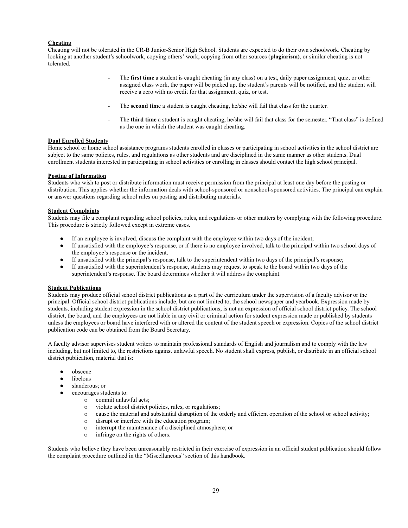#### **Cheating**

Cheating will not be tolerated in the CR-B Junior-Senior High School. Students are expected to do their own schoolwork. Cheating by looking at another student's schoolwork, copying others' work, copying from other sources (**plagiarism)**, or similar cheating is not tolerated.

- The **first time** a student is caught cheating (in any class) on a test, daily paper assignment, quiz, or other assigned class work, the paper will be picked up, the student's parents will be notified, and the student will receive a zero with no credit for that assignment, quiz, or test.
- The **second time** a student is caught cheating, he/she will fail that class for the quarter.
- The **third time** a student is caught cheating, he/she will fail that class for the semester. "That class" is defined as the one in which the student was caught cheating.

#### **Dual Enrolled Students**

Home school or home school assistance programs students enrolled in classes or participating in school activities in the school district are subject to the same policies, rules, and regulations as other students and are disciplined in the same manner as other students. Dual enrollment students interested in participating in school activities or enrolling in classes should contact the high school principal.

#### **Posting of Information**

Students who wish to post or distribute information must receive permission from the principal at least one day before the posting or distribution. This applies whether the information deals with school-sponsored or nonschool-sponsored activities. The principal can explain or answer questions regarding school rules on posting and distributing materials.

#### **Student Complaints**

Students may file a complaint regarding school policies, rules, and regulations or other matters by complying with the following procedure. This procedure is strictly followed except in extreme cases.

- If an employee is involved, discuss the complaint with the employee within two days of the incident;
- If unsatisfied with the employee's response, or if there is no employee involved, talk to the principal within two school days of the employee's response or the incident.
- If unsatisfied with the principal's response, talk to the superintendent within two days of the principal's response;
- If unsatisfied with the superintendent's response, students may request to speak to the board within two days of the superintendent's response. The board determines whether it will address the complaint.

#### **Student Publications**

Students may produce official school district publications as a part of the curriculum under the supervision of a faculty advisor or the principal. Official school district publications include, but are not limited to, the school newspaper and yearbook. Expression made by students, including student expression in the school district publications, is not an expression of official school district policy. The school district, the board, and the employees are not liable in any civil or criminal action for student expression made or published by students unless the employees or board have interfered with or altered the content of the student speech or expression. Copies of the school district publication code can be obtained from the Board Secretary.

A faculty advisor supervises student writers to maintain professional standards of English and journalism and to comply with the law including, but not limited to, the restrictions against unlawful speech. No student shall express, publish, or distribute in an official school district publication, material that is:

- obscene
- libelous
- slanderous; or
- encourages students to:
	- o commit unlawful acts;
	- o violate school district policies, rules, or regulations;
	- o cause the material and substantial disruption of the orderly and efficient operation of the school or school activity;
	- o disrupt or interfere with the education program;
	- o interrupt the maintenance of a disciplined atmosphere; or
	- o infringe on the rights of others.

Students who believe they have been unreasonably restricted in their exercise of expression in an official student publication should follow the complaint procedure outlined in the "Miscellaneous" section of this handbook.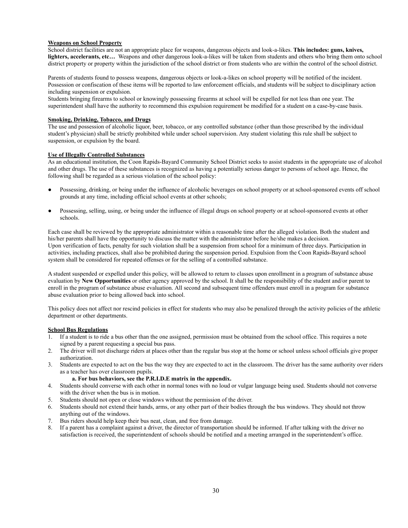#### **Weapons on School Property**

School district facilities are not an appropriate place for weapons, dangerous objects and look-a-likes. **This includes: guns, knives, lighters, accelerants, etc…** Weapons and other dangerous look-a-likes will be taken from students and others who bring them onto school district property or property within the jurisdiction of the school district or from students who are within the control of the school district.

Parents of students found to possess weapons, dangerous objects or look-a-likes on school property will be notified of the incident. Possession or confiscation of these items will be reported to law enforcement officials, and students will be subject to disciplinary action including suspension or expulsion.

Students bringing firearms to school or knowingly possessing firearms at school will be expelled for not less than one year. The superintendent shall have the authority to recommend this expulsion requirement be modified for a student on a case-by-case basis.

#### **Smoking, Drinking, Tobacco, and Drugs**

The use and possession of alcoholic liquor, beer, tobacco, or any controlled substance (other than those prescribed by the individual student's physician) shall be strictly prohibited while under school supervision. Any student violating this rule shall be subject to suspension, or expulsion by the board.

#### **Use of Illegally Controlled Substances**

As an educational institution, the Coon Rapids-Bayard Community School District seeks to assist students in the appropriate use of alcohol and other drugs. The use of these substances is recognized as having a potentially serious danger to persons of school age. Hence, the following shall be regarded as a serious violation of the school policy:

- Possessing, drinking, or being under the influence of alcoholic beverages on school property or at school-sponsored events off school grounds at any time, including official school events at other schools;
- Possessing, selling, using, or being under the influence of illegal drugs on school property or at school-sponsored events at other schools.

Each case shall be reviewed by the appropriate administrator within a reasonable time after the alleged violation. Both the student and his/her parents shall have the opportunity to discuss the matter with the administrator before he/she makes a decision. Upon verification of facts, penalty for such violation shall be a suspension from school for a minimum of three days. Participation in activities, including practices, shall also be prohibited during the suspension period. Expulsion from the Coon Rapids-Bayard school system shall be considered for repeated offenses or for the selling of a controlled substance.

A student suspended or expelled under this policy, will be allowed to return to classes upon enrollment in a program of substance abuse evaluation by **New Opportunities** or other agency approved by the school. It shall be the responsibility of the student and/or parent to enroll in the program of substance abuse evaluation. All second and subsequent time offenders must enroll in a program for substance abuse evaluation prior to being allowed back into school.

This policy does not affect nor rescind policies in effect for students who may also be penalized through the activity policies of the athletic department or other departments.

#### **School Bus Regulations**

- 1. If a student is to ride a bus other than the one assigned, permission must be obtained from the school office. This requires a note signed by a parent requesting a special bus pass.
- 2. The driver will not discharge riders at places other than the regular bus stop at the home or school unless school officials give proper authorization.
- 3. Students are expected to act on the bus the way they are expected to act in the classroom. The driver has the same authority over riders as a teacher has over classroom pupils.

#### **a. For bus behaviors, see the P.R.I.D.E matrix in the appendix.**

- 4. Students should converse with each other in normal tones with no loud or vulgar language being used. Students should not converse with the driver when the bus is in motion.
- 5. Students should not open or close windows without the permission of the driver.
- 6. Students should not extend their hands, arms, or any other part of their bodies through the bus windows. They should not throw anything out of the windows.
- 7. Bus riders should help keep their bus neat, clean, and free from damage.
- 8. If a parent has a complaint against a driver, the director of transportation should be informed. If after talking with the driver no satisfaction is received, the superintendent of schools should be notified and a meeting arranged in the superintendent's office.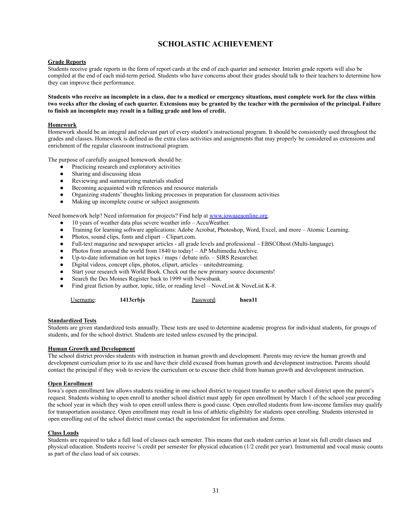# **SCHOLASTIC ACHIEVEMENT**

#### **Grade Reports**

Students receive grade reports in the form of report cards at the end of each quarter and semester. Interim grade reports will also be compiled at the end of each mid-term period. Students who have concerns about their grades should talk to their teachers to determine how they can improve their performance.

**Students who receive an incomplete in a class, due to a medical or emergency situations, must complete work for the class within two weeks after the closing of each quarter. Extensions may be granted by the teacher with the permission of the principal. Failure to finish an incomplete may result in a failing grade and loss of credit.**

#### **Homework**

Homework should be an integral and relevant part of every student's instructional program. It should be consistently used throughout the grades and classes. Homework is defined as the extra class activities and assignments that may properly be considered as extensions and enrichment of the regular classroom instructional program.

The purpose of carefully assigned homework should be:

- Practicing research and exploratory activities
- Sharing and discussing ideas
- Reviewing and summarizing materials studied
- Becoming acquainted with references and resource materials
- Organizing students' thoughts linking processes in preparation for classroom activities
- Making up incomplete course or subject assignments

Need homework help? Need information for projects? Find help at [www.iowaaeaonline.org.](http://www.iowaaeaonline.org)

- 10 years of weather data plus severe weather info AccuWeather.
- Training for learning software applications: Adobe Acrobat, Photoshop, Word, Excel, and more Atomic Learning.
- Photos, sound clips, fonts and clipart Clipart.com.
- Full-text magazine and newspaper articles all grade levels and professional EBSCOhost (Multi-language).
- Photos from around the world from 1840 to today! AP Multimedia Archive.
- Up-to-date information on hot topics / maps / debate info. SIRS Researcher.
- Digital videos, concept clips, photos, clipart, articles unitedstreaming.
- Start your research with World Book. Check out the new primary source documents!
- Search the Des Moines Register back to 1999 with Newsbank.
- Find great fiction by author, topic, title, or reading level NoveList & NoveList K-8.

| Username: | 1413crbjs | Password: | haea11 |
|-----------|-----------|-----------|--------|
|-----------|-----------|-----------|--------|

#### **Standardized Tests**

Students are given standardized tests annually. These tests are used to determine academic progress for individual students, for groups of students, and for the school district. Students are tested unless excused by the principal.

#### **Human Growth and Development**

The school district provides students with instruction in human growth and development. Parents may review the human growth and development curriculum prior to its use and have their child excused from human growth and development instruction. Parents should contact the principal if they wish to review the curriculum or to excuse their child from human growth and development instruction.

#### **Open Enrollment**

Iowa's open enrollment law allows students residing in one school district to request transfer to another school district upon the parent's request. Students wishing to open enroll to another school district must apply for open enrollment by March 1 of the school year preceding the school year in which they wish to open enroll unless there is good cause. Open enrolled students from low-income families may qualify for transportation assistance. Open enrollment may result in loss of athletic eligibility for students open enrolling. Students interested in open enrolling out of the school district must contact the superintendent for information and forms.

#### **Class Loads**

Students are required to take a full load of classes each semester. This means that each student carries at least six full credit classes and physical education. Students receive ¼ credit per semester for physical education (1/2 credit per year). Instrumental and vocal music counts as part of the class load of six courses.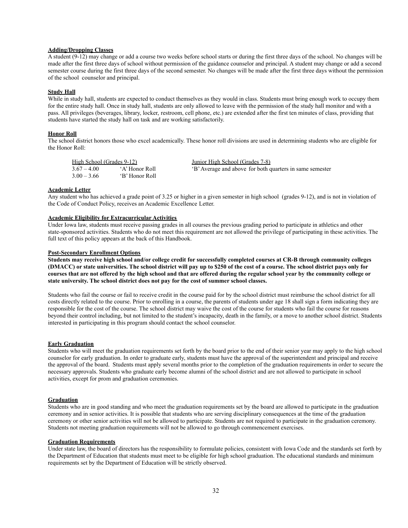#### **Adding/Dropping Classes**

A student (9-12) may change or add a course two weeks before school starts or during the first three days of the school. No changes will be made after the first three days of school without permission of the guidance counselor and principal. A student may change or add a second semester course during the first three days of the second semester. No changes will be made after the first three days without the permission of the school counselor and principal.

#### **Study Hall**

While in study hall, students are expected to conduct themselves as they would in class. Students must bring enough work to occupy them for the entire study hall. Once in study hall, students are only allowed to leave with the permission of the study hall monitor and with a pass. All privileges (beverages, library, locker, restroom, cell phone, etc.) are extended after the first ten minutes of class, providing that students have started the study hall on task and are working satisfactorily.

#### **Honor Roll**

The school district honors those who excel academically. These honor roll divisions are used in determining students who are eligible for the Honor Roll:

| High School (Grades 9-12) |                | Junior High School (Grades 7-8)                          |
|---------------------------|----------------|----------------------------------------------------------|
| $3.67 - 4.00$             | 'A' Honor Roll | 'B' Average and above for both quarters in same semester |
| $3.00 - 3.66$             | 'B' Honor Roll |                                                          |

#### **Academic Letter**

Any student who has achieved a grade point of 3.25 or higher in a given semester in high school (grades 9-12), and is not in violation of the Code of Conduct Policy, receives an Academic Excellence Letter.

#### **Academic Eligibility for Extracurricular Activities**

Under Iowa law, students must receive passing grades in all courses the previous grading period to participate in athletics and other state-sponsored activities. Students who do not meet this requirement are not allowed the privilege of participating in these activities. The full text of this policy appears at the back of this Handbook.

#### **Post-Secondary Enrollment Options**

**Students may receive high school and/or college credit for successfully completed courses at CR-B through community colleges (DMACC) or state universities. The school district will pay up to \$250 of the cost of a course. The school district pays only for courses that are not offered by the high school and that are offered during the regular school year by the community college or state university. The school district does not pay for the cost of summer school classes.**

Students who fail the course or fail to receive credit in the course paid for by the school district must reimburse the school district for all costs directly related to the course. Prior to enrolling in a course, the parents of students under age 18 shall sign a form indicating they are responsible for the cost of the course. The school district may waive the cost of the course for students who fail the course for reasons beyond their control including, but not limited to the student's incapacity, death in the family, or a move to another school district. Students interested in participating in this program should contact the school counselor.

#### **Early Graduation**

Students who will meet the graduation requirements set forth by the board prior to the end of their senior year may apply to the high school counselor for early graduation. In order to graduate early, students must have the approval of the superintendent and principal and receive the approval of the board. Students must apply several months prior to the completion of the graduation requirements in order to secure the necessary approvals. Students who graduate early become alumni of the school district and are not allowed to participate in school activities, except for prom and graduation ceremonies.

#### **Graduation**

Students who are in good standing and who meet the graduation requirements set by the board are allowed to participate in the graduation ceremony and in senior activities. It is possible that students who are serving disciplinary consequences at the time of the graduation ceremony or other senior activities will not be allowed to participate. Students are not required to participate in the graduation ceremony. Students not meeting graduation requirements will not be allowed to go through commencement exercises.

#### **Graduation Requirements**

Under state law, the board of directors has the responsibility to formulate policies, consistent with Iowa Code and the standards set forth by the Department of Education that students must meet to be eligible for high school graduation. The educational standards and minimum requirements set by the Department of Education will be strictly observed.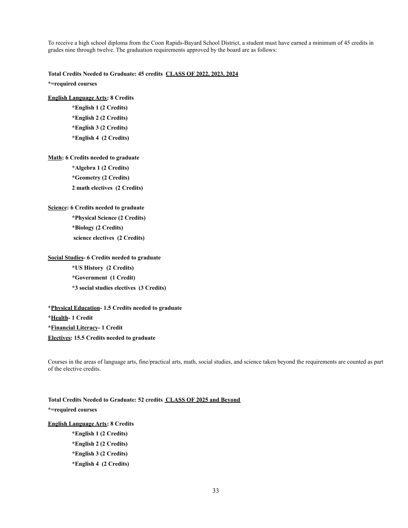To receive a high school diploma from the Coon Rapids-Bayard School District, a student must have earned a minimum of 45 credits in grades nine through twelve. The graduation requirements approved by the board are as follows:

**Total Credits Needed to Graduate: 45 credits CLASS OF 2022, 2023, 2024**

**\*=required courses**

#### **English Language Arts: 8 Credits**

**\*English 1 (2 Credits) \*English 2 (2 Credits) \*English 3 (2 Credits) \*English 4 (2 Credits)**

#### **Math: 6 Credits needed to graduate**

**\*Algebra 1 (2 Credits) \*Geometry (2 Credits) 2 math electives (2 Credits)**

#### **Science: 6 Credits needed to graduate**

**\*Physical Science (2 Credits) \*Biology (2 Credits) science electives (2 Credits)**

#### **Social Studies- 6 Credits needed to graduate**

**\*US History (2 Credits) \*Government (1 Credit) \*3 social studies electives (3 Credits)**

#### **\*Physical Education- 1.5 Credits needed to graduate**

**\*Health- 1 Credit**

**\*Financial Literacy- 1 Credit Electives: 15.5 Credits needed to graduate**

Courses in the areas of language arts, fine/practical arts, math, social studies, and science taken beyond the requirements are counted as part of the elective credits.

# **Total Credits Needed to Graduate: 52 credits CLASS OF 2025 and Beyond \*=required courses**

#### **English Language Arts: 8 Credits**

- **\*English 1 (2 Credits) \*English 2 (2 Credits)**
- **\*English 3 (2 Credits)**
- **\*English 4 (2 Credits)**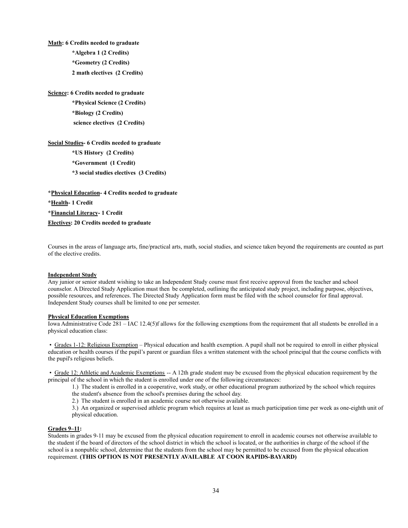**Math: 6 Credits needed to graduate \*Algebra 1 (2 Credits) \*Geometry (2 Credits) 2 math electives (2 Credits)**

**Science: 6 Credits needed to graduate**

**\*Physical Science (2 Credits) \*Biology (2 Credits) science electives (2 Credits)**

**Social Studies- 6 Credits needed to graduate**

**\*US History (2 Credits) \*Government (1 Credit)**

**\*3 social studies electives (3 Credits)**

**\*Physical Education- 4 Credits needed to graduate \*Health- 1 Credit \*Financial Literacy- 1 Credit Electives: 20 Credits needed to graduate**

Courses in the areas of language arts, fine/practical arts, math, social studies, and science taken beyond the requirements are counted as part of the elective credits.

#### **Independent Study**

Any junior or senior student wishing to take an Independent Study course must first receive approval from the teacher and school counselor. A Directed Study Application must then be completed, outlining the anticipated study project, including purpose, objectives, possible resources, and references. The Directed Study Application form must be filed with the school counselor for final approval. Independent Study courses shall be limited to one per semester.

#### **Physical Education Exemptions**

Iowa Administrative Code 281 – IAC 12.4(5)f allows for the following exemptions from the requirement that all students be enrolled in a physical education class:

• Grades 1-12: Religious Exemption – Physical education and health exemption. A pupil shall not be required to enroll in either physical education or health courses if the pupil's parent or guardian files a written statement with the school principal that the course conflicts with the pupil's religious beliefs.

• Grade 12: Athletic and Academic Exemptions -- A 12th grade student may be excused from the physical education requirement by the principal of the school in which the student is enrolled under one of the following circumstances:

1.) The student is enrolled in a cooperative, work study, or other educational program authorized by the school which requires

the student's absence from the school's premises during the school day.

2.) The student is enrolled in an academic course not otherwise available.

3.) An organized or supervised athletic program which requires at least as much participation time per week as one-eighth unit of physical education.

#### **Grades 9–11:**

Students in grades 9-11 may be excused from the physical education requirement to enroll in academic courses not otherwise available to the student if the board of directors of the school district in which the school is located, or the authorities in charge of the school if the school is a nonpublic school, determine that the students from the school may be permitted to be excused from the physical education requirement. **(THIS OPTION IS NOT PRESENTLY AVAILABLE AT COON RAPIDS-BAYARD)**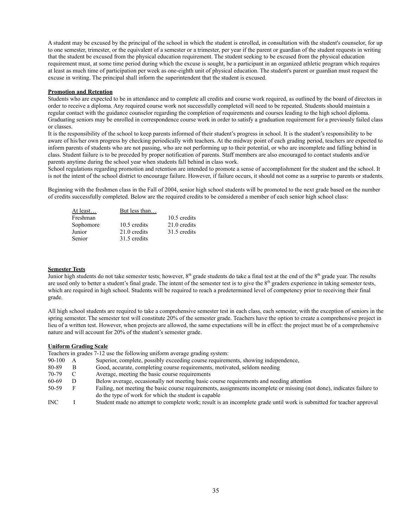A student may be excused by the principal of the school in which the student is enrolled, in consultation with the student's counselor, for up to one semester, trimester, or the equivalent of a semester or a trimester, per year if the parent or guardian of the student requests in writing that the student be excused from the physical education requirement. The student seeking to be excused from the physical education requirement must, at some time period during which the excuse is sought, be a participant in an organized athletic program which requires at least as much time of participation per week as one-eighth unit of physical education. The student's parent or guardian must request the excuse in writing. The principal shall inform the superintendent that the student is excused.

#### **Promotion and Retention**

Students who are expected to be in attendance and to complete all credits and course work required, as outlined by the board of directors in order to receive a diploma. Any required course work not successfully completed will need to be repeated. Students should maintain a regular contact with the guidance counselor regarding the completion of requirements and courses leading to the high school diploma. Graduating seniors may be enrolled in correspondence course work in order to satisfy a graduation requirement for a previously failed class or classes.

It is the responsibility of the school to keep parents informed of their student's progress in school. It is the student's responsibility to be aware of his/her own progress by checking periodically with teachers. At the midway point of each grading period, teachers are expected to inform parents of students who are not passing, who are not performing up to their potential, or who are incomplete and falling behind in class. Student failure is to be preceded by proper notification of parents. Staff members are also encouraged to contact students and/or parents anytime during the school year when students fall behind in class work.

School regulations regarding promotion and retention are intended to promote a sense of accomplishment for the student and the school. It is not the intent of the school district to encourage failure. However, if failure occurs, it should not come as a surprise to parents or students.

Beginning with the freshmen class in the Fall of 2004, senior high school students will be promoted to the next grade based on the number of credits successfully completed. Below are the required credits to be considered a member of each senior high school class:

| At least  | But less than |              |
|-----------|---------------|--------------|
| Freshman  |               | 10.5 credits |
| Sophomore | 10.5 credits  | 21.0 credits |
| Junior    | 21.0 credits  | 31.5 credits |
| Senior    | 31.5 credits  |              |

#### **Semester Tests**

Junior high students do not take semester tests; however,  $8<sup>th</sup>$  grade students do take a final test at the end of the  $8<sup>th</sup>$  grade year. The results are used only to better a student's final grade. The intent of the semester test is to give the 8<sup>th</sup> graders experience in taking semester tests, which are required in high school. Students will be required to reach a predetermined level of competency prior to receiving their final grade.

All high school students are required to take a comprehensive semester test in each class, each semester, with the exception of seniors in the spring semester. The semester test will constitute 20% of the semester grade. Teachers have the option to create a comprehensive project in lieu of a written test. However, when projects are allowed, the same expectations will be in effect: the project must be of a comprehensive nature and will account for 20% of the student's semester grade.

#### **Uniform Grading Scale**

Teachers in grades 7-12 use the following uniform average grading system:

- 90-100 A Superior, complete, possibly exceeding course requirements, showing independence,
- 80-89 B Good, accurate, completing course requirements, motivated, seldom needing
- 70-79 C Average, meeting the basic course requirements
- 60-69 D Below average, occasionally not meeting basic course requirements and needing attention
- 50-59 F Failing, not meeting the basic course requirements, assignments incomplete or missing (not done), indicates failure to do the type of work for which the student is capable
- INC I Student made no attempt to complete work; result is an incomplete grade until work is submitted for teacher approval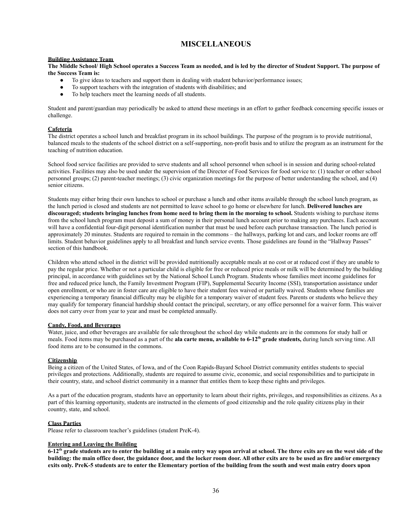# **MISCELLANEOUS**

#### **Building Assistance Team**

**The Middle School/ High School operates a Success Team as needed, and is led by the director of Student Support. The purpose of the Success Team is:**

- To give ideas to teachers and support them in dealing with student behavior/performance issues;
- To support teachers with the integration of students with disabilities; and
- To help teachers meet the learning needs of all students.

Student and parent/guardian may periodically be asked to attend these meetings in an effort to gather feedback concerning specific issues or challenge.

#### **Cafeteria**

The district operates a school lunch and breakfast program in its school buildings. The purpose of the program is to provide nutritional, balanced meals to the students of the school district on a self-supporting, non-profit basis and to utilize the program as an instrument for the teaching of nutrition education.

School food service facilities are provided to serve students and all school personnel when school is in session and during school-related activities. Facilities may also be used under the supervision of the Director of Food Services for food service to: (1) teacher or other school personnel groups; (2) parent-teacher meetings; (3) civic organization meetings for the purpose of better understanding the school, and (4) senior citizens.

Students may either bring their own lunches to school or purchase a lunch and other items available through the school lunch program, as the lunch period is closed and students are not permitted to leave school to go home or elsewhere for lunch. **Delivered lunches are discouraged; students bringing lunches from home need to bring them in the morning to school.** Students wishing to purchase items from the school lunch program must deposit a sum of money in their personal lunch account prior to making any purchases. Each account will have a confidential four-digit personal identification number that must be used before each purchase transaction. The lunch period is approximately 20 minutes. Students are required to remain in the commons – the hallways, parking lot and cars, and locker rooms are off limits. Student behavior guidelines apply to all breakfast and lunch service events. Those guidelines are found in the "Hallway Passes" section of this handbook.

Children who attend school in the district will be provided nutritionally acceptable meals at no cost or at reduced cost if they are unable to pay the regular price. Whether or not a particular child is eligible for free or reduced price meals or milk will be determined by the building principal, in accordance with guidelines set by the National School Lunch Program. Students whose families meet income guidelines for free and reduced price lunch, the Family Investment Program (FIP), Supplemental Security Income (SSI), transportation assistance under open enrollment, or who are in foster care are eligible to have their student fees waived or partially waived. Students whose families are experiencing a temporary financial difficulty may be eligible for a temporary waiver of student fees. Parents or students who believe they may qualify for temporary financial hardship should contact the principal, secretary, or any office personnel for a waiver form. This waiver does not carry over from year to year and must be completed annually.

#### **Candy, Food, and Beverages**

Water, juice, and other beverages are available for sale throughout the school day while students are in the commons for study hall or meals. Food items may be purchased as a part of the **ala carte menu, available to 6-12<sup>th</sup>** grade students, during lunch serving time. All food items are to be consumed in the commons.

#### **Citizenship**

Being a citizen of the United States, of Iowa, and of the Coon Rapids-Bayard School District community entitles students to special privileges and protections. Additionally, students are required to assume civic, economic, and social responsibilities and to participate in their country, state, and school district community in a manner that entitles them to keep these rights and privileges.

As a part of the education program, students have an opportunity to learn about their rights, privileges, and responsibilities as citizens. As a part of this learning opportunity, students are instructed in the elements of good citizenship and the role quality citizens play in their country, state, and school.

#### **Class Parties**

Please refer to classroom teacher's guidelines (student PreK-4).

#### **Entering and Leaving the Building**

**6-12th grade students are to enter the building at a main entry way upon arrival at school. The three exits are on the west side of the building: the main office door, the guidance door, and the locker room door. All other exits are to be used as fire and/or emergency exits only. PreK-5 students are to enter the Elementary portion of the building from the south and west main entry doors upon**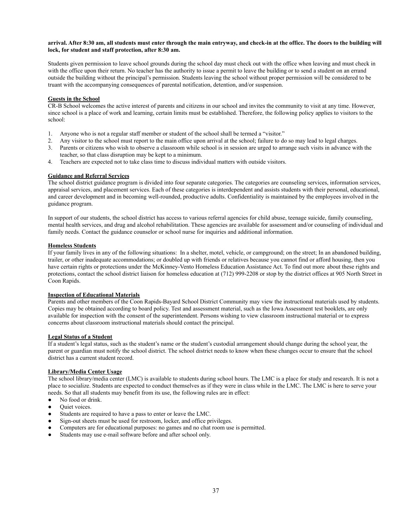#### **arrival. After 8:30 am, all students must enter through the main entryway, and check-in at the office. The doors to the building will lock, for student and staff protection, after 8:30 am.**

Students given permission to leave school grounds during the school day must check out with the office when leaving and must check in with the office upon their return. No teacher has the authority to issue a permit to leave the building or to send a student on an errand outside the building without the principal's permission. Students leaving the school without proper permission will be considered to be truant with the accompanying consequences of parental notification, detention, and/or suspension.

#### **Guests in the School**

CR-B School welcomes the active interest of parents and citizens in our school and invites the community to visit at any time. However, since school is a place of work and learning, certain limits must be established. Therefore, the following policy applies to visitors to the school:

- 1. Anyone who is not a regular staff member or student of the school shall be termed a "visitor."
- 2. Any visitor to the school must report to the main office upon arrival at the school; failure to do so may lead to legal charges.
- 3. Parents or citizens who wish to observe a classroom while school is in session are urged to arrange such visits in advance with the teacher, so that class disruption may be kept to a minimum.
- 4. Teachers are expected not to take class time to discuss individual matters with outside visitors.

#### **Guidance and Referral Services**

The school district guidance program is divided into four separate categories. The categories are counseling services, information services, appraisal services, and placement services. Each of these categories is interdependent and assists students with their personal, educational, and career development and in becoming well-rounded, productive adults. Confidentiality is maintained by the employees involved in the guidance program.

In support of our students, the school district has access to various referral agencies for child abuse, teenage suicide, family counseling, mental health services, and drug and alcohol rehabilitation. These agencies are available for assessment and/or counseling of individual and family needs. Contact the guidance counselor or school nurse for inquiries and additional information.

#### **Homeless Students**

If your family lives in any of the following situations: In a shelter, motel, vehicle, or campground; on the street; In an abandoned building, trailer, or other inadequate accommodations; or doubled up with friends or relatives because you cannot find or afford housing, then you have certain rights or protections under the McKinney-Vento Homeless Education Assistance Act. To find out more about these rights and protections, contact the school district liaison for homeless education at (712) 999-2208 or stop by the district offices at 905 North Street in Coon Rapids.

#### **Inspection of Educational Materials**

Parents and other members of the Coon Rapids-Bayard School District Community may view the instructional materials used by students. Copies may be obtained according to board policy. Test and assessment material, such as the Iowa Assessment test booklets, are only available for inspection with the consent of the superintendent. Persons wishing to view classroom instructional material or to express concerns about classroom instructional materials should contact the principal.

#### **Legal Status of a Student**

If a student's legal status, such as the student's name or the student's custodial arrangement should change during the school year, the parent or guardian must notify the school district. The school district needs to know when these changes occur to ensure that the school district has a current student record.

#### **Library/Media Center Usage**

The school library/media center (LMC) is available to students during school hours. The LMC is a place for study and research. It is not a place to socialize. Students are expected to conduct themselves as if they were in class while in the LMC. The LMC is here to serve your needs. So that all students may benefit from its use, the following rules are in effect:

- No food or drink.
- Quiet voices.
- Students are required to have a pass to enter or leave the LMC.
- Sign-out sheets must be used for restroom, locker, and office privileges.
- Computers are for educational purposes: no games and no chat room use is permitted.
- Students may use e-mail software before and after school only.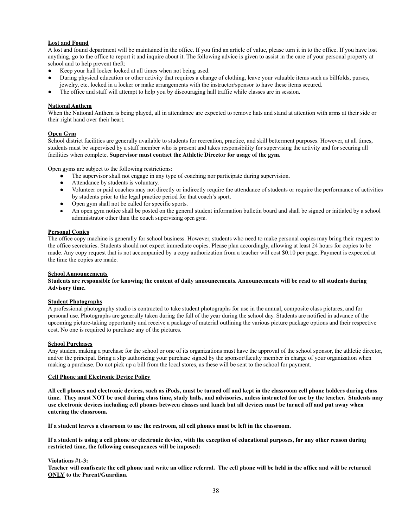#### **Lost and Found**

A lost and found department will be maintained in the office. If you find an article of value, please turn it in to the office. If you have lost anything, go to the office to report it and inquire about it. The following advice is given to assist in the care of your personal property at school and to help prevent theft:

- Keep your hall locker locked at all times when not being used.
- During physical education or other activity that requires a change of clothing, leave your valuable items such as billfolds, purses, jewelry, etc. locked in a locker or make arrangements with the instructor/sponsor to have these items secured.
- The office and staff will attempt to help you by discouraging hall traffic while classes are in session.

#### **National Anthem**

When the National Anthem is being played, all in attendance are expected to remove hats and stand at attention with arms at their side or their right hand over their heart.

#### **Open Gym**

School district facilities are generally available to students for recreation, practice, and skill betterment purposes. However, at all times, students must be supervised by a staff member who is present and takes responsibility for supervising the activity and for securing all facilities when complete. **Supervisor must contact the Athletic Director for usage of the gym.**

Open gyms are subject to the following restrictions:

- The supervisor shall not engage in any type of coaching nor participate during supervision.
- Attendance by students is voluntary.
- Volunteer or paid coaches may not directly or indirectly require the attendance of students or require the performance of activities by students prior to the legal practice period for that coach's sport.
- Open gym shall not be called for specific sports.
- An open gym notice shall be posted on the general student information bulletin board and shall be signed or initialed by a school administrator other than the coach supervising open gym.

#### **Personal Copies**

The office copy machine is generally for school business. However, students who need to make personal copies may bring their request to the office secretaries. Students should not expect immediate copies. Please plan accordingly, allowing at least 24 hours for copies to be made. Any copy request that is not accompanied by a copy authorization from a teacher will cost \$0.10 per page. Payment is expected at the time the copies are made.

#### **School Announcements**

**Students are responsible for knowing the content of daily announcements. Announcements will be read to all students during Advisory time.**

#### **Student Photographs**

A professional photography studio is contracted to take student photographs for use in the annual, composite class pictures, and for personal use. Photographs are generally taken during the fall of the year during the school day. Students are notified in advance of the upcoming picture-taking opportunity and receive a package of material outlining the various picture package options and their respective cost. No one is required to purchase any of the pictures.

#### **School Purchases**

Any student making a purchase for the school or one of its organizations must have the approval of the school sponsor, the athletic director, and/or the principal. Bring a slip authorizing your purchase signed by the sponsor/faculty member in charge of your organization when making a purchase. Do not pick up a bill from the local stores, as these will be sent to the school for payment.

#### **Cell Phone and Electronic Device Policy**

**All cell phones and electronic devices, such as iPods, must be turned off and kept in the classroom cell phone holders during class time. They must NOT be used during class time, study halls, and advisories, unless instructed for use by the teacher. Students may use electronic devices including cell phones between classes and lunch but all devices must be turned off and put away when entering the classroom.** 

**If a student leaves a classroom to use the restroom, all cell phones must be left in the classroom.**

**If a student is using a cell phone or electronic device, with the exception of educational purposes, for any other reason during restricted time, the following consequences will be imposed:**

#### **Violations #1-3:**

**Teacher will confiscate the cell phone and write an office referral. The cell phone will be held in the office and will be returned ONLY to the Parent/Guardian.**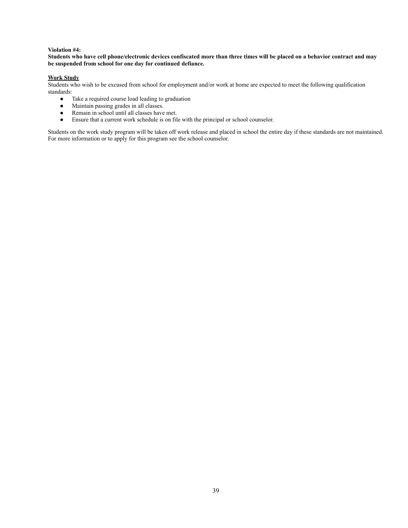#### **Violation #4:**

#### **Students who have cell phone/electronic devices confiscated more than three times will be placed on a behavior contract and may be suspended from school for one day for continued defiance.**

#### **Work Study**

Students who wish to be excused from school for employment and/or work at home are expected to meet the following qualification standards:

- Take a required course load leading to graduation
- Maintain passing grades in all classes.
- Remain in school until all classes have met.
- Ensure that a current work schedule is on file with the principal or school counselor.

Students on the work study program will be taken off work release and placed in school the entire day if these standards are not maintained. For more information or to apply for this program see the school counselor.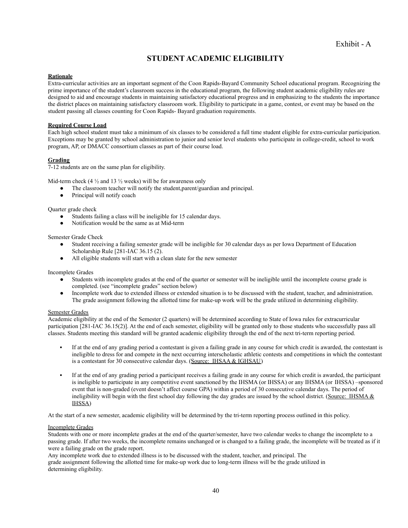# **STUDENT ACADEMIC ELIGIBILITY**

#### **Rationale**

Extra-curricular activities are an important segment of the Coon Rapids-Bayard Community School educational program. Recognizing the prime importance of the student's classroom success in the educational program, the following student academic eligibility rules are designed to aid and encourage students in maintaining satisfactory educational progress and in emphasizing to the students the importance the district places on maintaining satisfactory classroom work. Eligibility to participate in a game, contest, or event may be based on the student passing all classes counting for Coon Rapids- Bayard graduation requirements.

#### **Required Course Load**

Each high school student must take a minimum of six classes to be considered a full time student eligible for extra-curricular participation. Exceptions may be granted by school administration to junior and senior level students who participate in college-credit, school to work program, AP, or DMACC consortium classes as part of their course load.

#### **Grading**

7-12 students are on the same plan for eligibility.

Mid-term check  $(4\frac{1}{2})$  and  $13\frac{1}{2}$  weeks) will be for awareness only

- The classroom teacher will notify the student,parent/guardian and principal.
- Principal will notify coach

Quarter grade check

- Students failing a class will be ineligible for 15 calendar days.
- Notification would be the same as at Mid-term

#### Semester Grade Check

- Student receiving a failing semester grade will be ineligible for 30 calendar days as per Iowa Department of Education Scholarship Rule [281-IAC 36.15 (2).
- All eligible students will start with a clean slate for the new semester

#### Incomplete Grades

- Students with incomplete grades at the end of the quarter or semester will be ineligible until the incomplete course grade is completed. (see "incomplete grades" section below)
- Incomplete work due to extended illness or extended situation is to be discussed with the student, teacher, and administration. The grade assignment following the allotted time for make-up work will be the grade utilized in determining eligibility.

#### Semester Grades

Academic eligibility at the end of the Semester (2 quarters) will be determined according to State of Iowa rules for extracurricular participation [281-IAC 36.15(2)]. At the end of each semester, eligibility will be granted only to those students who successfully pass all classes. Students meeting this standard will be granted academic eligibility through the end of the next tri-term reporting period.

- If at the end of any grading period a contestant is given a failing grade in any course for which credit is awarded, the contestant is ineligible to dress for and compete in the next occurring interscholastic athletic contests and competitions in which the contestant is a contestant for 30 consecutive calendar days. (Source: IHSAA & IGHSAU)
- If at the end of any grading period a participant receives a failing grade in any course for which credit is awarded, the participant is ineligible to participate in any competitive event sanctioned by the IHSMA (or IHSSA) or any IHSMA (or IHSSA) –sponsored event that is non-graded (event doesn't affect course GPA) within a period of 30 consecutive calendar days. The period of ineligibility will begin with the first school day following the day grades are issued by the school district. (Source: IHSMA & IHSSA)

At the start of a new semester, academic eligibility will be determined by the tri-term reporting process outlined in this policy.

#### Incomplete Grades

Students with one or more incomplete grades at the end of the quarter/semester, have two calendar weeks to change the incomplete to a passing grade. If after two weeks, the incomplete remains unchanged or is changed to a failing grade, the incomplete will be treated as if it were a failing grade on the grade report.

Any incomplete work due to extended illness is to be discussed with the student, teacher, and principal. The grade assignment following the allotted time for make-up work due to long-term illness will be the grade utilized in determining eligibility.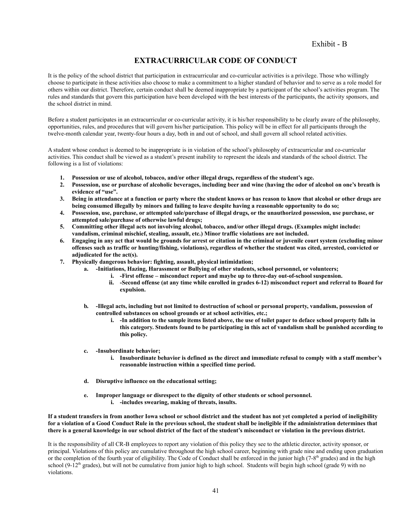# **EXTRACURRICULAR CODE OF CONDUCT**

It is the policy of the school district that participation in extracurricular and co-curricular activities is a privilege. Those who willingly choose to participate in these activities also choose to make a commitment to a higher standard of behavior and to serve as a role model for others within our district. Therefore, certain conduct shall be deemed inappropriate by a participant of the school's activities program. The rules and standards that govern this participation have been developed with the best interests of the participants, the activity sponsors, and the school district in mind.

Before a student participates in an extracurricular or co-curricular activity, it is his/her responsibility to be clearly aware of the philosophy, opportunities, rules, and procedures that will govern his/her participation. This policy will be in effect for all participants through the twelve-month calendar year, twenty-four hours a day, both in and out of school, and shall govern all school related activities.

A student whose conduct is deemed to be inappropriate is in violation of the school's philosophy of extracurricular and co-curricular activities. This conduct shall be viewed as a student's present inability to represent the ideals and standards of the school district. The following is a list of violations:

- **1. Possession or use of alcohol, tobacco, and/or other illegal drugs, regardless of the student's age.**
- **2. Possession, use or purchase of alcoholic beverages, including beer and wine (having the odor of alcohol on one's breath is evidence of "use".**
- **3. Being in attendance at a function or party where the student knows or has reason to know that alcohol or other drugs are being consumed illegally by minors and failing to leave despite having a reasonable opportunity to do so;**
- **4. Possession, use, purchase, or attempted sale/purchase of illegal drugs, or the unauthorized possession, use purchase, or attempted sale/purchase of otherwise lawful drugs;**
- **5. Committing other illegal acts not involving alcohol, tobacco, and/or other illegal drugs. (Examples might include: vandalism, criminal mischief, stealing, assault, etc.) Minor traffic violations are not included.**
- **6. Engaging in any act that would be grounds for arrest or citation in the criminal or juvenile court system (excluding minor offenses such as traffic or hunting/fishing, violations), regardless of whether the student was cited, arrested, convicted or adjudicated for the act(s).**
- **7. Physically dangerous behavior: fighting, assault, physical intimidation;**
	- **a. -Initiations, Hazing, Harassment or Bullying of other students, school personnel, or volunteers;**
		- **i. -First offense misconduct report and maybe up to three-day out-of-school suspension.**
		- **ii. -Second offense (at any time while enrolled in grades 6-12) misconduct report and referral to Board for expulsion.**
	- **b. -Illegal acts, including but not limited to destruction of school or personal property, vandalism, possession of controlled substances on school grounds or at school activities, etc.;**
		- **i. -In addition to the sample items listed above, the use of toilet paper to deface school property falls in this category. Students found to be participating in this act of vandalism shall be punished according to this policy.**
	- **c. -Insubordinate behavior;**
		- **i. Insubordinate behavior is defined as the direct and immediate refusal to comply with a staff member's reasonable instruction within a specified time period.**
	- **d. Disruptive influence on the educational setting;**
	- **e. Improper language or disrespect to the dignity of other students or school personnel. i. -includes swearing, making of threats, insults.**

**If a student transfers in from another Iowa school or school district and the student has not yet completed a period of ineligibility for a violation of a Good Conduct Rule in the previous school, the student shall be ineligible if the administration determines that there is a general knowledge in our school district of the fact of the student's misconduct or violation in the previous district.**

It is the responsibility of all CR-B employees to report any violation of this policy they see to the athletic director, activity sponsor, or principal. Violations of this policy are cumulative throughout the high school career, beginning with grade nine and ending upon graduation or the completion of the fourth year of eligibility. The Code of Conduct shall be enforced in the junior high (7-8<sup>th</sup> grades) and in the high school (9-12<sup>th</sup> grades), but will not be cumulative from junior high to high school. Students will begin high school (grade 9) with no violations.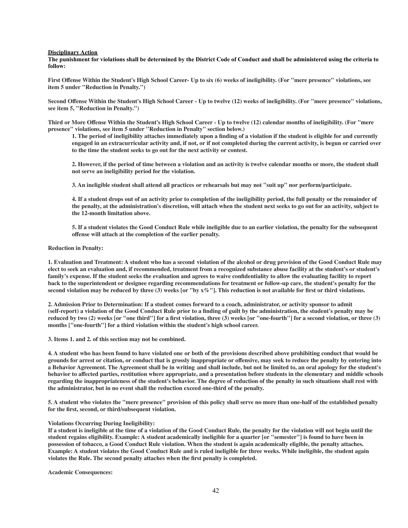#### **Disciplinary Action**

**The punishment for violations shall be determined by the District Code of Conduct and shall be administered using the criteria to follow:**

First Offense Within the Student's High School Career- Up to six (6) weeks of ineligibility. (For "mere presence" violations, see **item 5 under "Reduction in Penalty.")**

Second Offense Within the Student's High School Career - Up to twelve (12) weeks of ineligibility. (For "mere presence" violations, **see item 5, "Reduction in Penalty.")**

Third or More Offense Within the Student's High School Career - Up to twelve (12) calendar months of ineligibility. (For "mere **presence" violations, see item 5 under "Reduction in Penalty" section below.)**

1. The period of ineligibility attaches immediately upon a finding of a violation if the student is eligible for and currently engaged in an extracurricular activity and, if not, or if not completed during the current activity, is begun or carried over **to the time the student seeks to go out for the next activity or contest.**

2. However, if the period of time between a violation and an activity is twelve calendar months or more, the student shall **not serve an ineligibility period for the violation.**

3. An ineligible student shall attend all practices or rehearsals but may not "suit up" nor perform/participate.

4. If a student drops out of an activity prior to completion of the ineligibility period, the full penalty or the remainder of the penalty, at the administration's discretion, will attach when the student next seeks to go out for an activity, subject to **the 12-month limitation above.**

5. If a student violates the Good Conduct Rule while ineligible due to an earlier violation, the penalty for the subsequent **offense will attach at the completion of the earlier penalty.**

#### **Reduction in Penalty:**

1. Evaluation and Treatment: A student who has a second violation of the alcohol or drug provision of the Good Conduct Rule may elect to seek an evaluation and, if recommended, treatment from a recognized substance abuse facility at the student's or student's family's expense. If the student seeks the evaluation and agrees to waive confidentiality to allow the evaluating facility to report back to the superintendent or designee regarding recommendations for treatment or follow-up care, the student's penalty for the second violation may be reduced by three (3) weeks [or "by  $x\%$ "]. This reduction is not available for first or third violations.

2. Admission Prior to Determination: If a student comes forward to a coach, administrator, or activity sponsor to admit (self-report) a violation of the Good Conduct Rule prior to a finding of guilt by the administration, the student's penalty may be reduced by two (2) weeks [or "one third"] for a first violation, three (3) weeks [or "one-fourth"] for a second violation, or three (3) **months ["one-fourth"] for a third violation within the student's high school career.**

**3. Items 1. and 2. of this section may not be combined.**

4. A student who has been found to have violated one or both of the provisions described above prohibiting conduct that would be grounds for arrest or citation, or conduct that is grossly inappropriate or offensive, may seek to reduce the penalty by entering into a Behavior Agreement. The Agreement shall be in writing and shall include, but not be limited to, an oral apology for the student's behavior to affected parties, restitution where appropriate, and a presentation before students in the elementary and middle schools regarding the inappropriateness of the student's behavior. The degree of reduction of the penalty in such situations shall rest with **the administrator, but in no event shall the reduction exceed one-third of the penalty.**

5. A student who violates the "mere presence" provision of this policy shall serve no more than one-half of the established penalty **for the first, second, or third/subsequent violation.**

#### **Violations Occurring During Ineligibility:**

If a student is ineligible at the time of a violation of the Good Conduct Rule, the penalty for the violation will not begin until the student regains eligibility. Example: A student academically ineligible for a quarter [or "semester"] is found to have been in possession of tobacco, a Good Conduct Rule violation. When the student is again academically eligible, the penalty attaches. Example: A student violates the Good Conduct Rule and is ruled ineligible for three weeks. While ineligible, the student again **violates the Rule. The second penalty attaches when the first penalty is completed.**

**Academic Consequences:**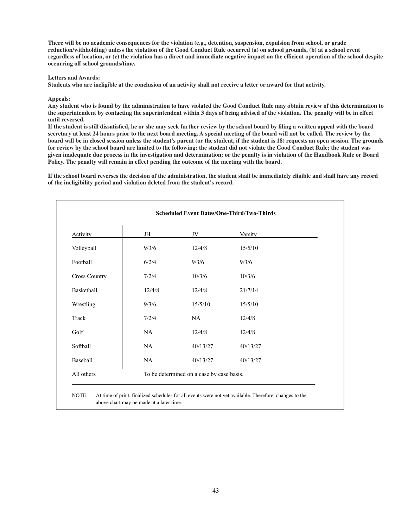**There will be no academic consequences for the violation (e.g., detention, suspension, expulsion from school, or grade** reduction/withholding) unless the violation of the Good Conduct Rule occurred (a) on school grounds, (b) at a school event regardless of location, or (c) the violation has a direct and immediate negative impact on the efficient operation of the school despite **occurring off school grounds/time.**

#### **Letters and Awards:**

Students who are ineligible at the conclusion of an activity shall not receive a letter or award for that activity.

#### **Appeals:**

Any student who is found by the administration to have violated the Good Conduct Rule may obtain review of this determination to the superintendent by contacting the superintendent within 3 days of being advised of the violation. The penalty will be in effect **until reversed.**

If the student is still dissatisfied, he or she may seek further review by the school board by filing a written appeal with the board secretary at least 24 hours prior to the next board meeting. A special meeting of the board will not be called. The review by the board will be in closed session unless the student's parent (or the student, if the student is 18) requests an open session. The grounds for review by the school board are limited to the following: the student did not violate the Good Conduct Rule; the student was given inadequate due process in the investigation and determination; or the penalty is in violation of the Handbook Rule or Board **Policy. The penalty will remain in effect pending the outcome of the meeting with the board.**

If the school board reverses the decision of the administration, the student shall be immediately eligible and shall have any record **of the ineligibility period and violation deleted from the student's record.**

| Activity             | JH                                        | JV       | Varsity  |  |
|----------------------|-------------------------------------------|----------|----------|--|
| Volleyball           | 9/3/6                                     | 12/4/8   | 15/5/10  |  |
| Football             | 6/2/4                                     | 9/3/6    | 9/3/6    |  |
| <b>Cross Country</b> | 7/2/4                                     | 10/3/6   | 10/3/6   |  |
| Basketball           | 12/4/8                                    | 12/4/8   | 21/7/14  |  |
| Wrestling            | 9/3/6                                     | 15/5/10  | 15/5/10  |  |
| Track                | 7/2/4                                     | NA       | 12/4/8   |  |
| Golf                 | NA                                        | 12/4/8   | 12/4/8   |  |
| Softball             | NA                                        | 40/13/27 | 40/13/27 |  |
| Baseball             | NA                                        | 40/13/27 | 40/13/27 |  |
| All others           | To be determined on a case by case basis. |          |          |  |